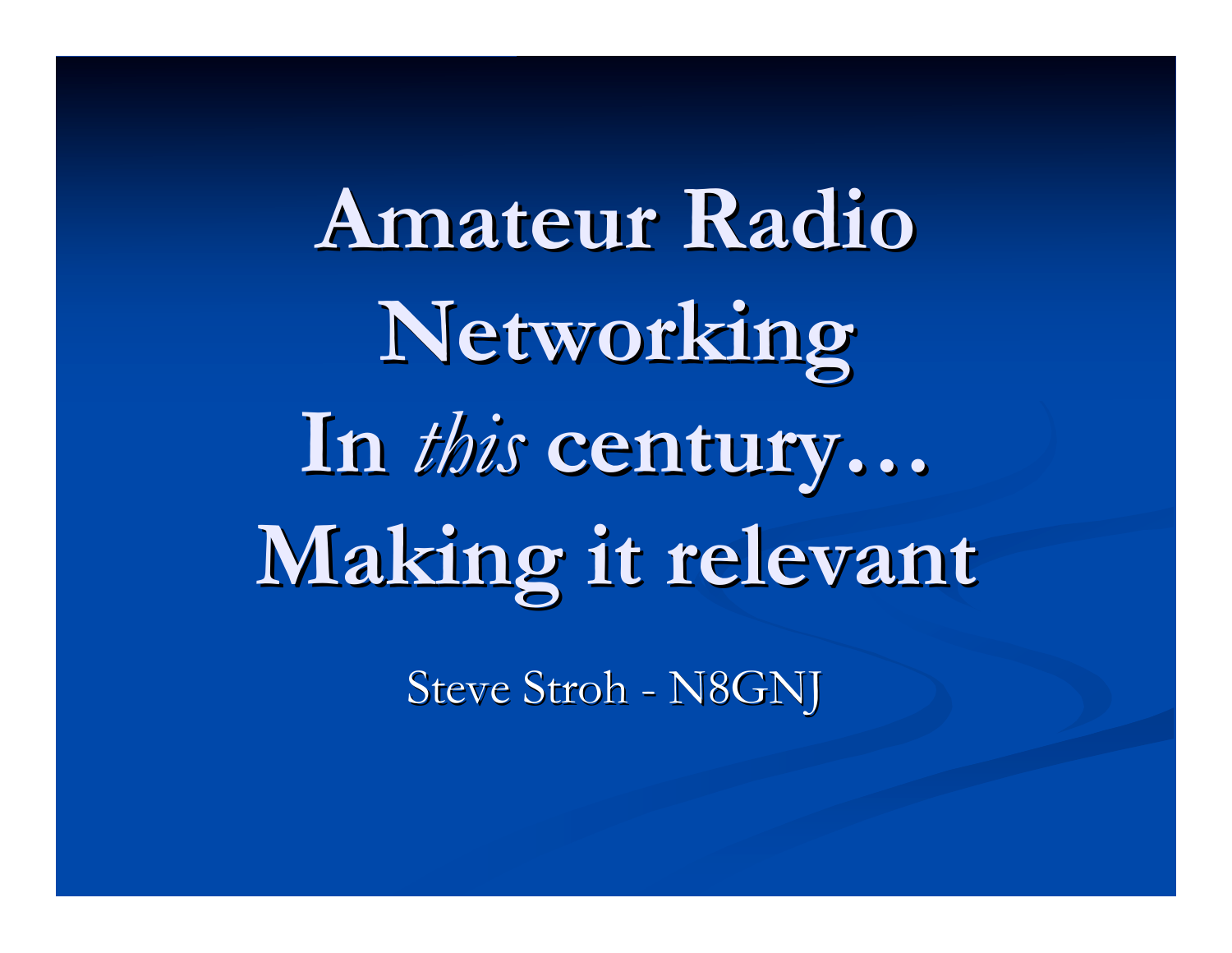**Amateur Radio Amateur Radio Networking Networking** In *this* century... **Making it relevant Making it relevant**

Steve Stroh - N8GNJ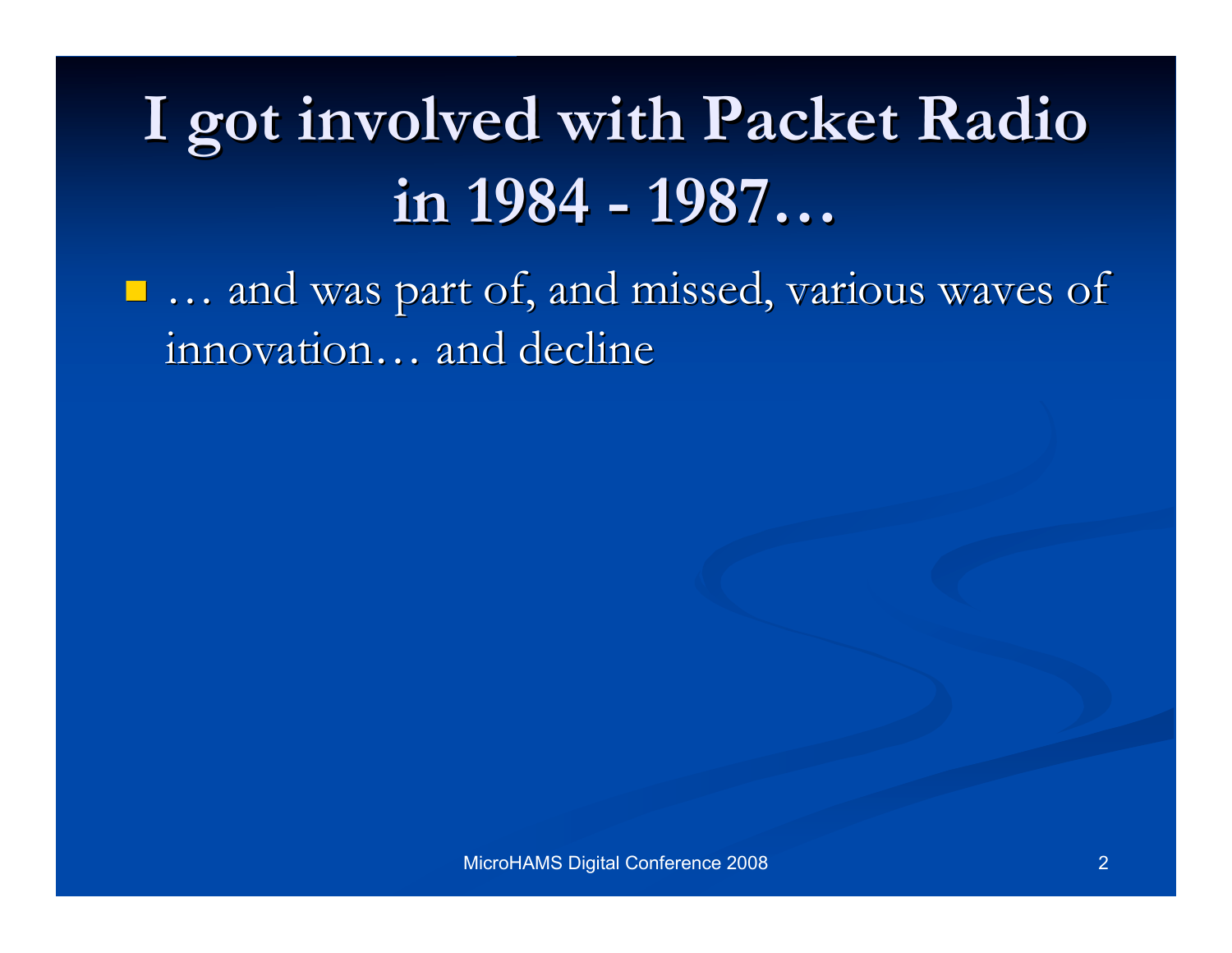## **I got involved with Packet Radio I got involved with Packet Radio in 1984 - 1987 in 1984 - 1987…**

 $\blacksquare$  ... and was part of, and missed, various waves of innovation... and decline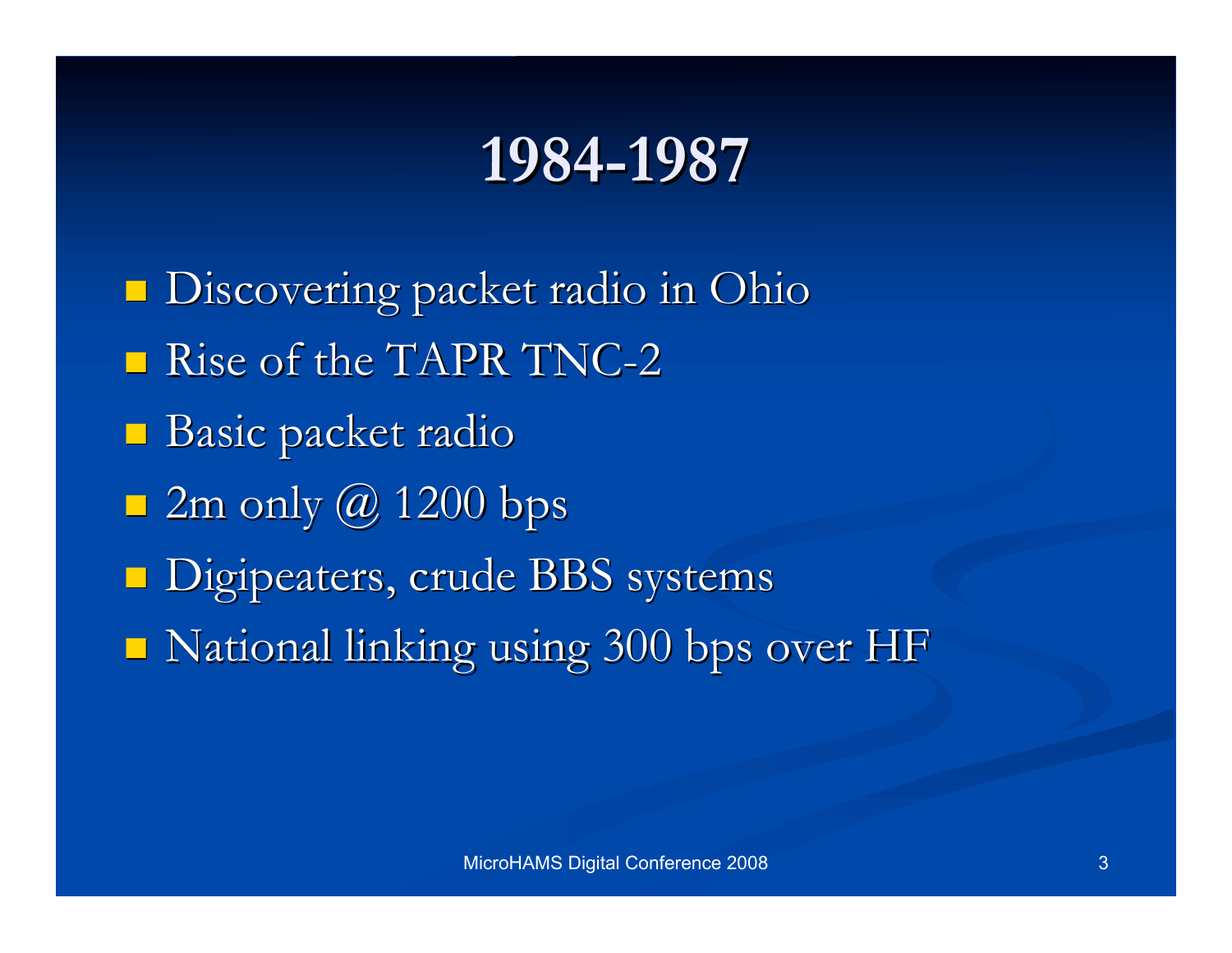### **1984-1987 1984-1987**

**Discovering packet radio in Ohio** Rise of the TAPR TNC-2  $\blacksquare$  Basic packet radio  $\sqrt{2m}$  only  $\omega$  1200 bps **Digipeaters, crude BBS systems**  $\blacksquare$  National linking using 300 bps over HF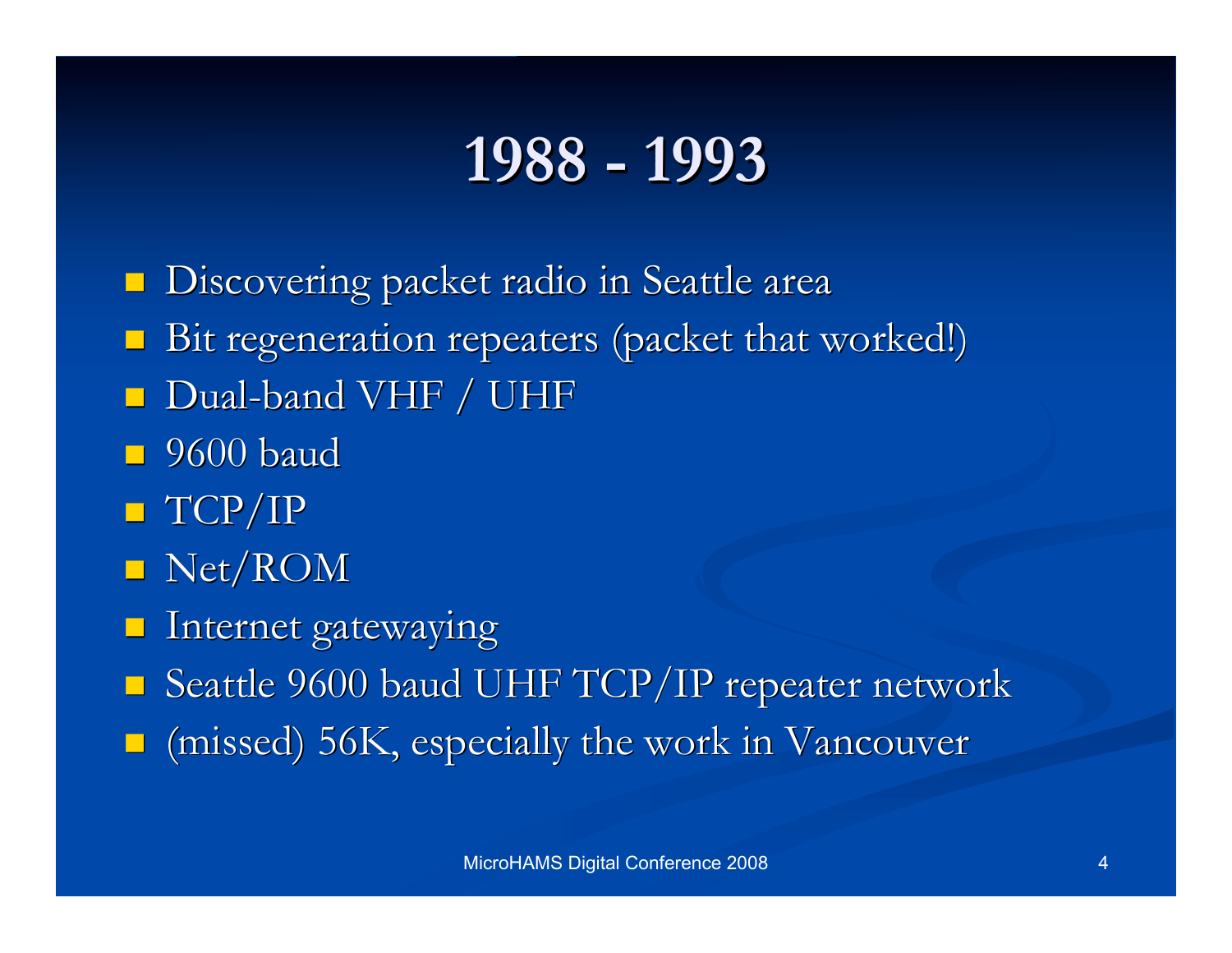### **1988 - 1993 1988 - 1993**

Discovering packet radio in Seattle area Discovering packet radio in Seattle area

- Bit regeneration repeaters (packet that worked!)
- $\Box$  Dual-band VHF / UHF
- $\Box$  9600 baud
- $\blacksquare$  TCP/IP
- $\blacksquare$  Net/ROM
- $\blacksquare$  Internet gatewaying
- $\blacksquare$  Seattle 9600 baud UHF TCP/IP repeater network
- $\blacksquare$  (missed) 56K, especially the work in Vancouver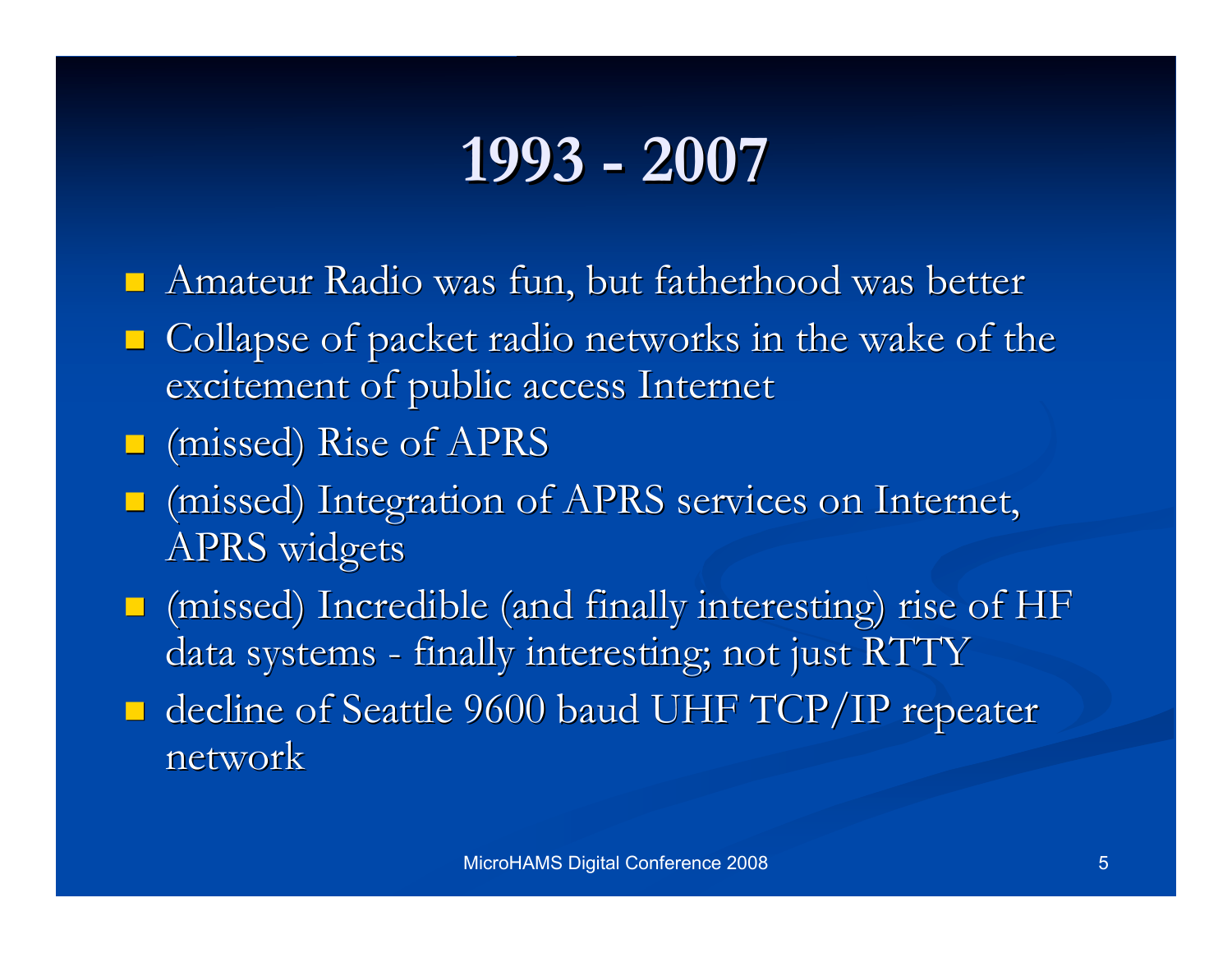### **1993 - 2007 1993 - 2007**

- $\blacksquare$  Amateur Radio was fun, but fatherhood was better
- $\Box$  Collapse of packet radio networks in the wake of the excitement of public access Internet
- $\Box$  (missed) Rise of APRS
- (missed) Integration of APRS services on Internet, (missed) Integration of APRS services on Internet, APRS widgets
- $\Box$  (missed) Incredible (and finally interesting) rise of HF data systems - finally interesting; not just RTTY
- $\blacksquare$  decline of Seattle 9600 baud UHF TCP/IP repeater network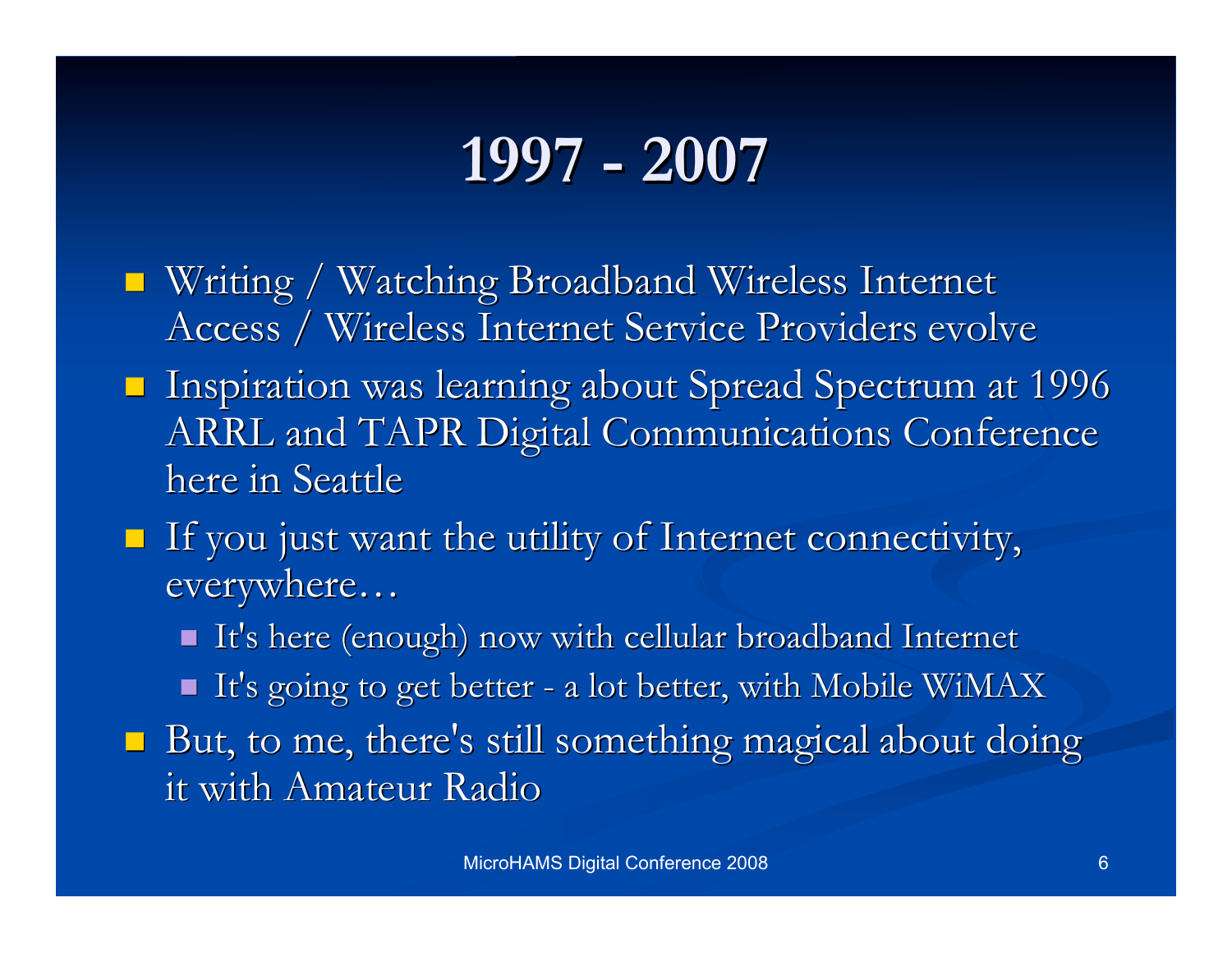### **1997 - 2007 1997 - 2007**

- Writing / Watching Broadband Wireless Internet Access / Wireless Internet Service Providers evolve
- **Inspiration was learning about Spread Spectrum at 1996** ARRL and TAPR Digital Communications Conference here in Seattle
- $\blacksquare$  If you just want the utility of Internet connectivity, everywhere...
	- It's here (enough) now with cellular broadband Internet
	- It's going to get better a lot better, with Mobile WiMAX
- $\blacksquare$  But, to me, there's still something magical about doing it with Amateur Radio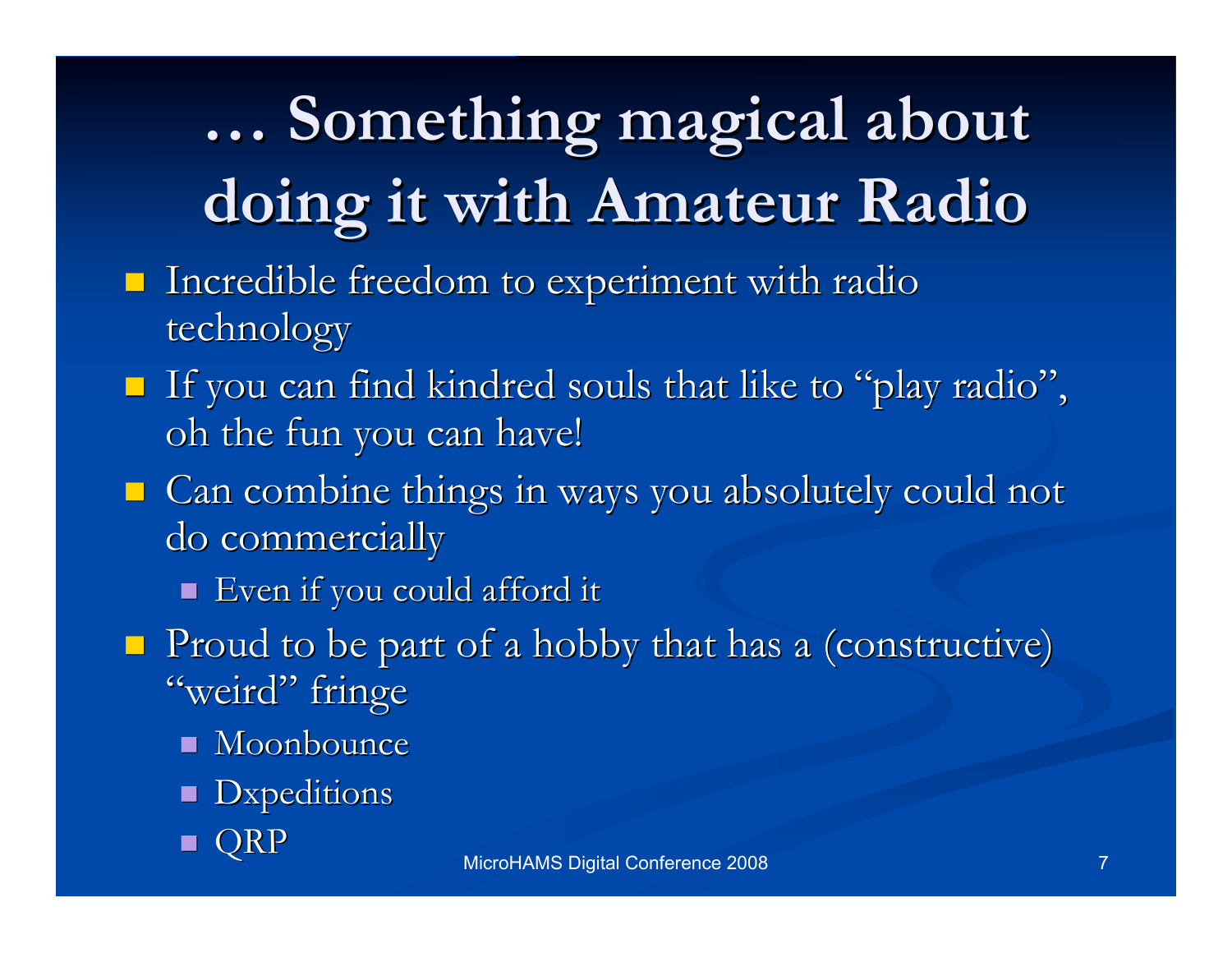# **… Something magical Something magical about doing it with Amateur Radio doing it with Amateur Radio**

- $\blacksquare$  Incredible freedom to experiment with radio technology
- If you can find kindred souls that like to "play radio", oh the fun you can have!
- Can combine things in ways you absolutely could not do commercially
	- Even if you could afford it Even if you could afford it
- $\blacksquare$  Proud to be part of a hobby that has a (constructive) "weird" fringe
	- $\blacksquare$  Moonbounce
	- **D**xpeditions
	- **QRP**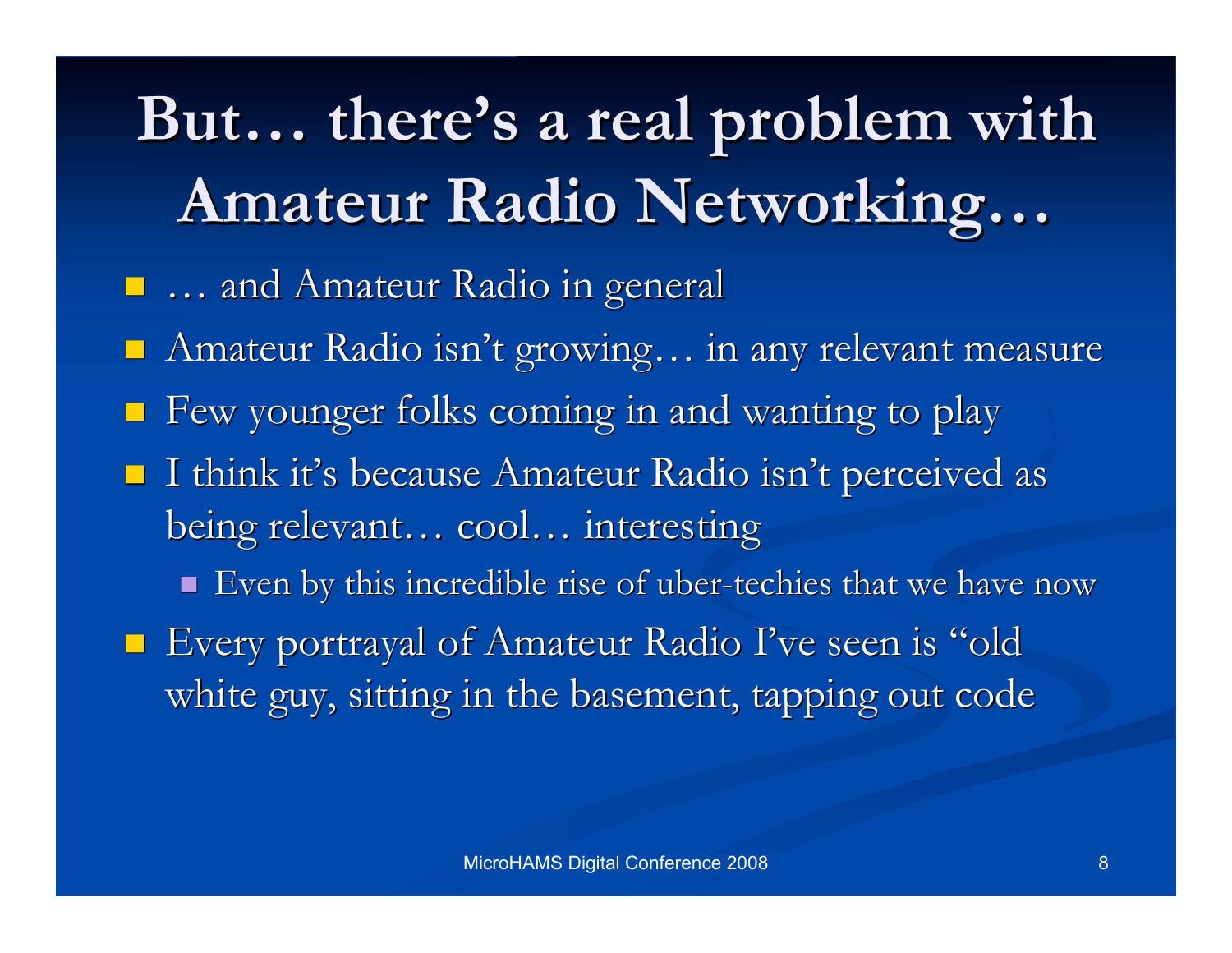# But... there's a real problem with **Amateur Radio Networking Amateur Radio Networking…**

- $\blacksquare$  ... and Amateur Radio in general
- Amateur Radio isn't growing... in any relevant measure
- $\blacksquare$  Few younger folks coming in and wanting to play
- $\blacksquare$  I think it's because Amateur Radio isn't perceived as being relevant... cool... interesting
	- Even by this incredible rise of uber-techies that we have now
- $\blacksquare$  Every portrayal of Amateur Radio I've seen is "old white guy, sitting in the basement, tapping out code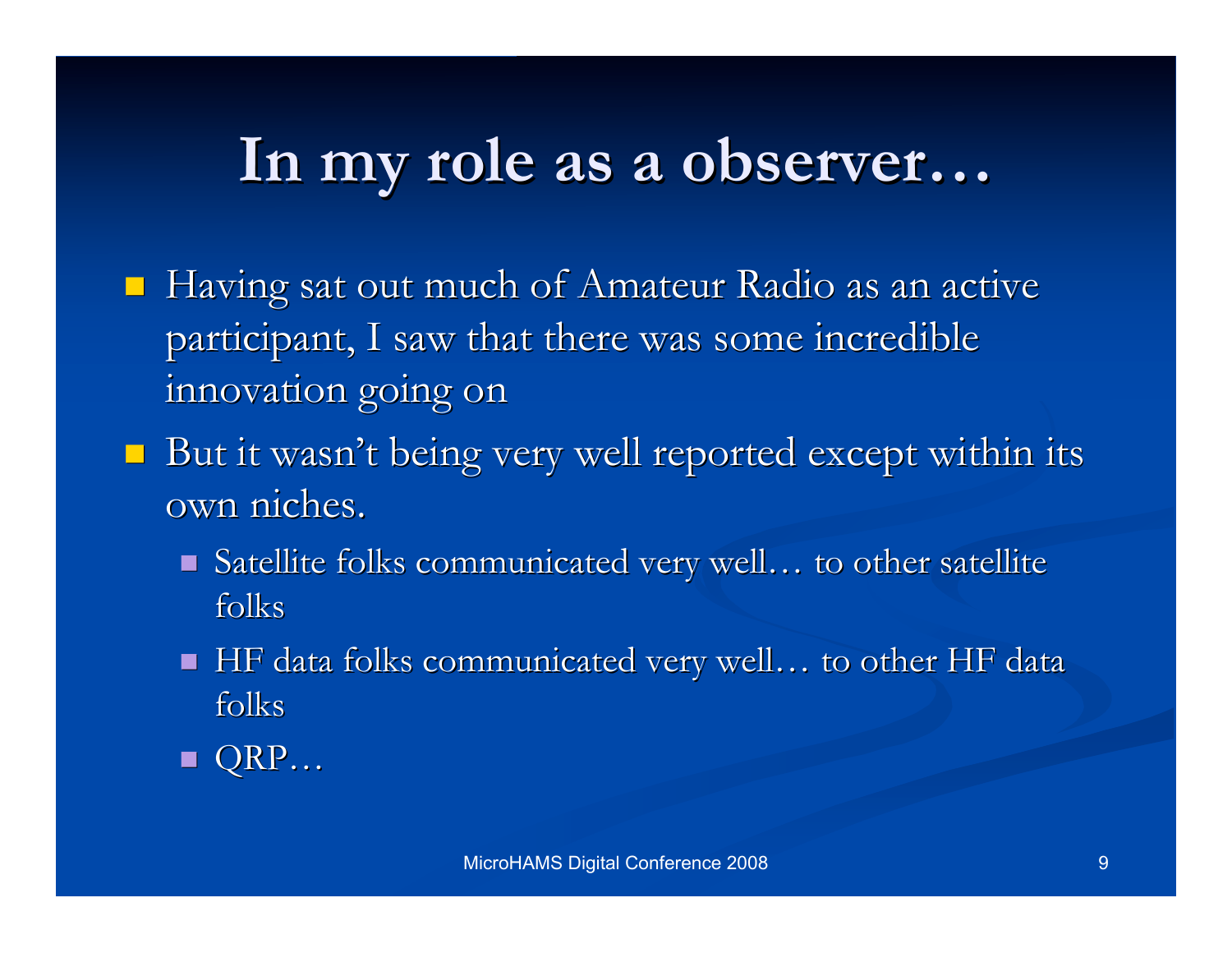### **In my role as a observer In my role as a observer…**

- $\blacksquare$  Having sat out much of Amateur Radio as an active participant, I saw that there was some incredible innovation going on
- $\blacksquare$  But it wasn't being very well reported except within its own niches.
	- $\blacksquare$  Satellite folks communicated very well... to other satellite folks
	- $\blacksquare$  HF data folks communicated very well... to other HF data folks
	- QRP…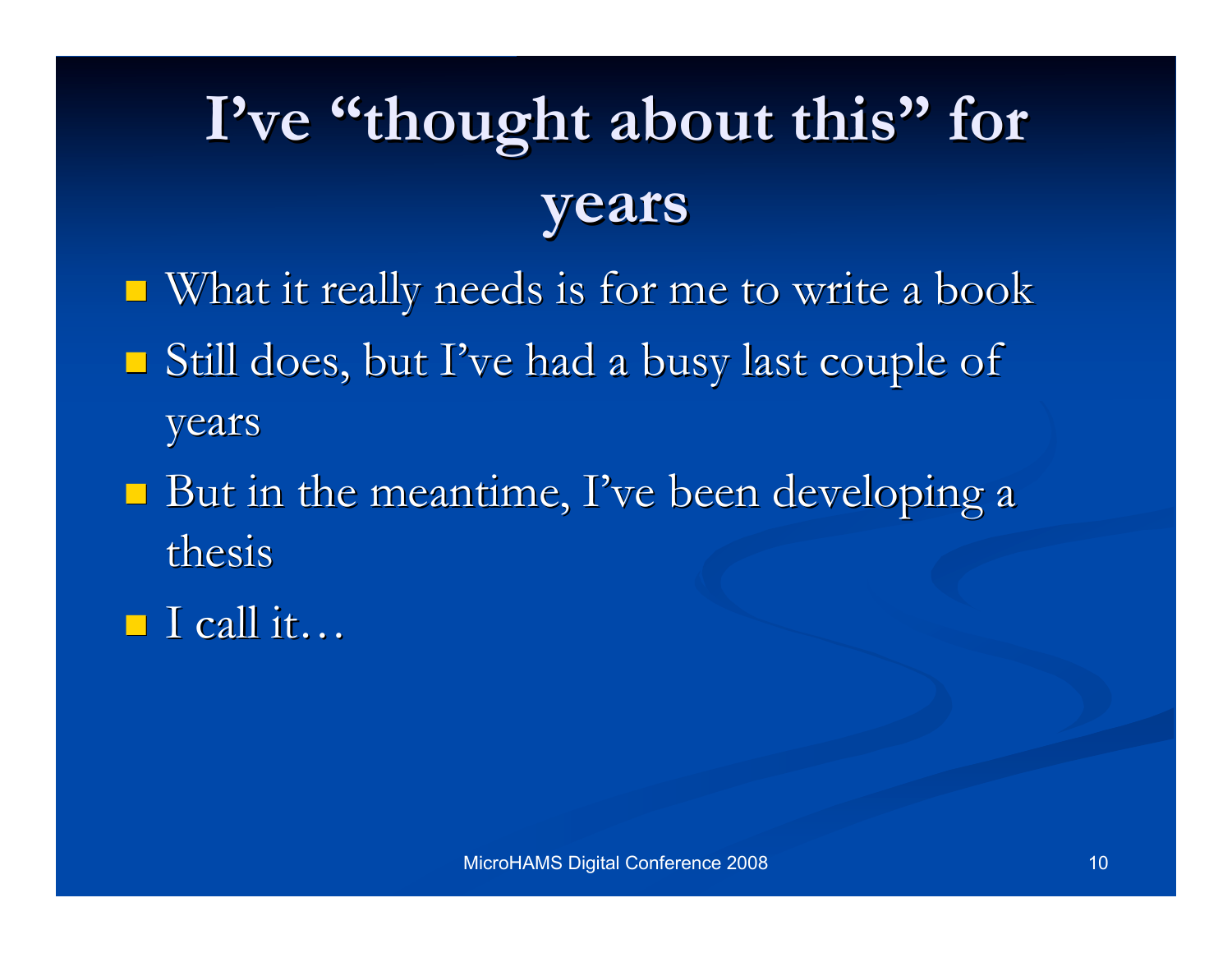# I've "thought about this" for **years**

- $\blacksquare$  What it really needs is for me to write a book Still does, but I've had a busy last couple of years
- $\blacksquare$  But in the meantime, I've been developing a thesis
- $\blacksquare$  I call it…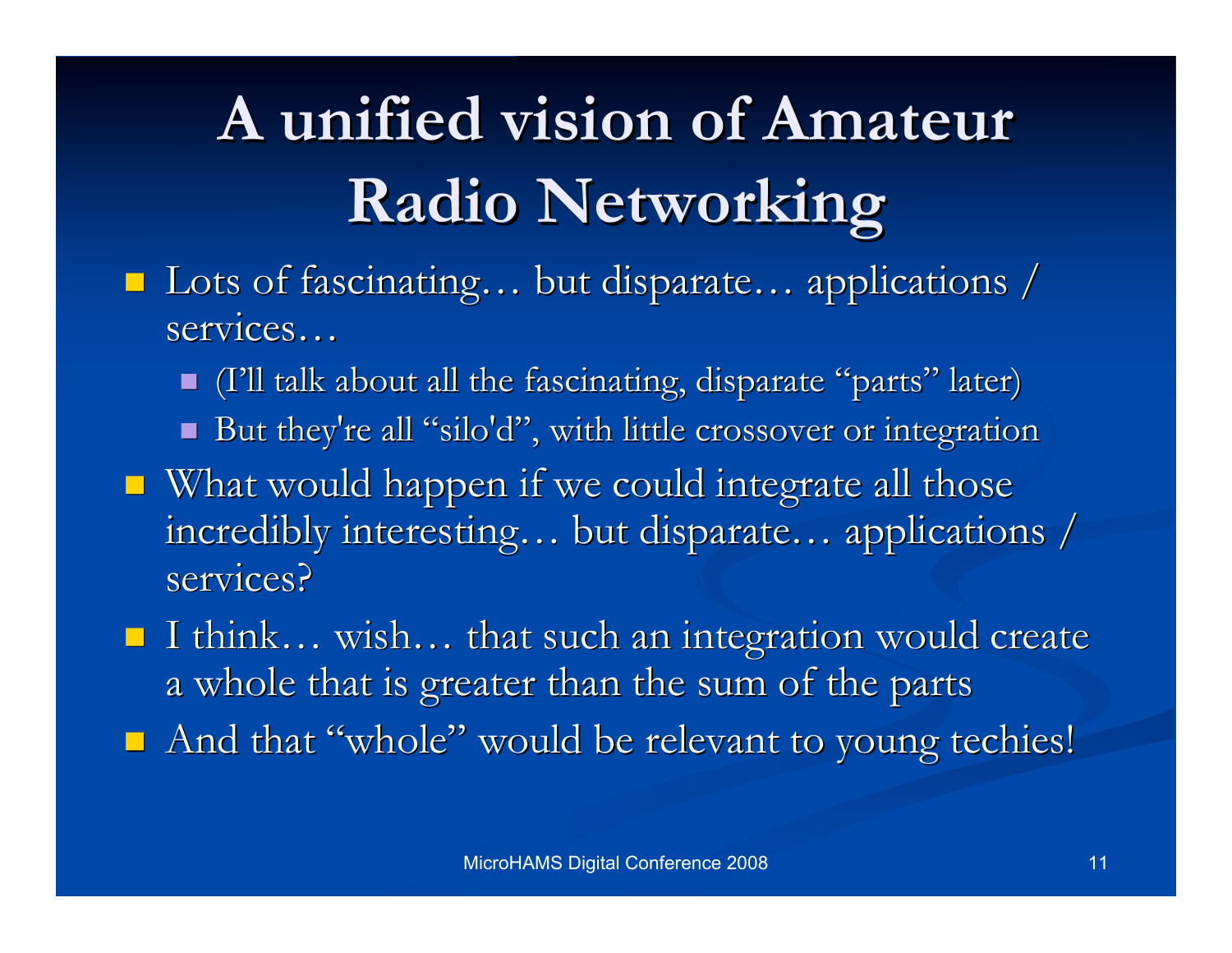# **A unified vision of Amateur A unified vision of Amateur Radio Networking Radio Networking**

- Lots of fascinating... but disparate... applications / services...
	- If (I'll talk about all the fascinating, disparate "parts" later)
	- But they're all "silo'd", with little crossover or integration
- $\blacksquare$  What would happen if we could integrate all those incredibly interesting... but disparate... applications / services?
- I think... wish... that such an integration would create a whole that is greater than the sum of the parts
- And that "whole" would be relevant to young techies!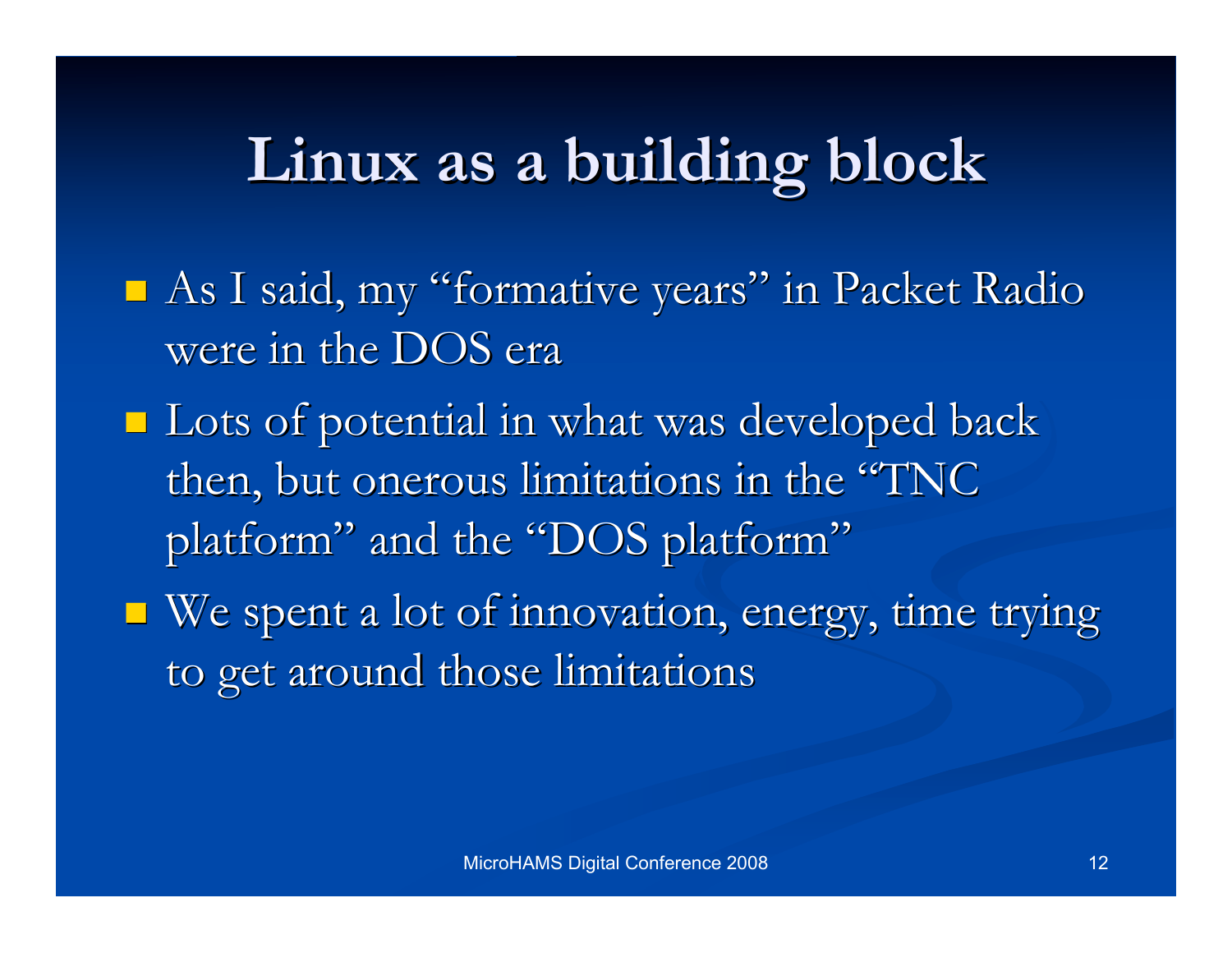### **Linux as a building block Linux as a building block**

- $\blacksquare$  As I said, my "formative years" in Packet Radio were in the DOS era
- $\blacksquare$  Lots of potential in what was developed back then, but onerous limitations in the "TNC platform" and the "DOS platform"
- $\blacksquare$  We spent a lot of innovation, energy, time trying to get around those limitations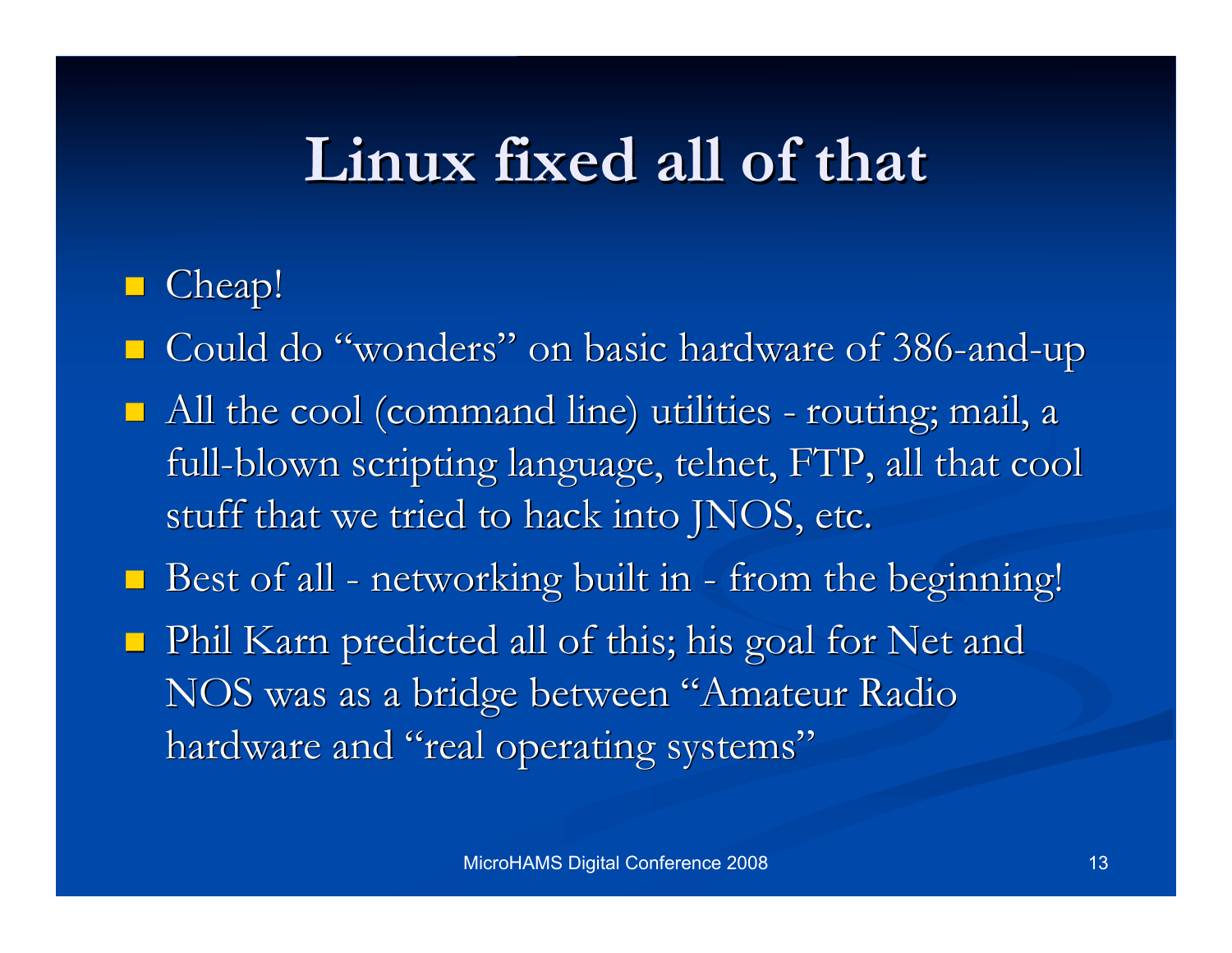### **Linux fixed all of that Linux fixed all of that**

#### ■ Cheap!

■ Could do "wonders" on basic hardware of 386-and-up

- All the cool (command line) utilities routing; mail, a full-blown scripting language, telnet, FTP, all that cool stuff that we tried to hack into JNOS, etc.
- Best of all networking built in from the beginning!
- $\blacksquare$  Phil Karn predicted all of this; his goal for Net and NOS was as a bridge between "Amateur Radio hardware and "real operating systems"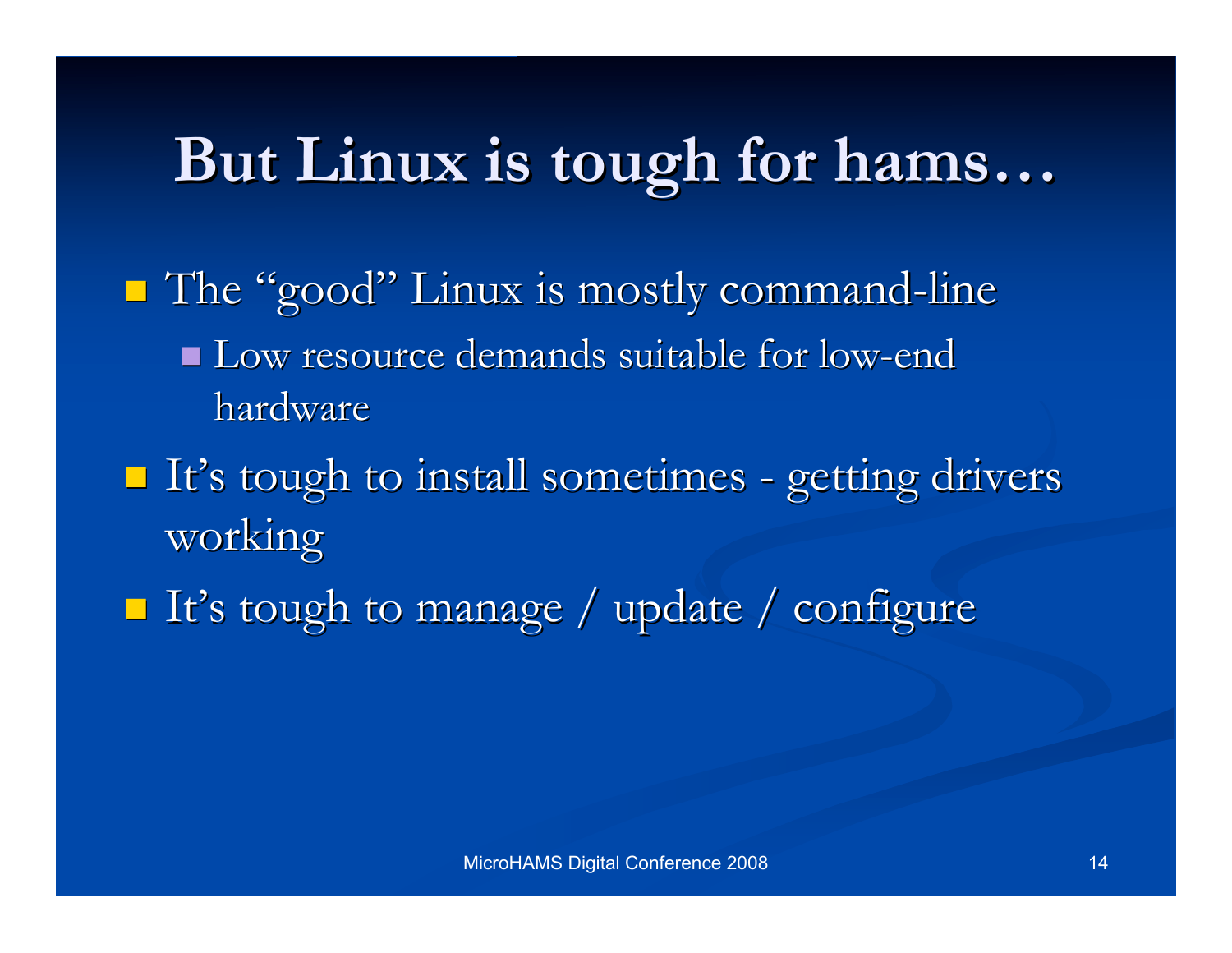### **But Linux is But Linux is tough for hams tough for hams…**

- $\blacksquare$  The "good" Linux is mostly command-line Low resource demands suitable for low-end Low resource demands suitable for low-end hardware
- $\blacksquare$  It's tough to install sometimes getting drivers working
- $\blacksquare$  It's tough to manage / update / configure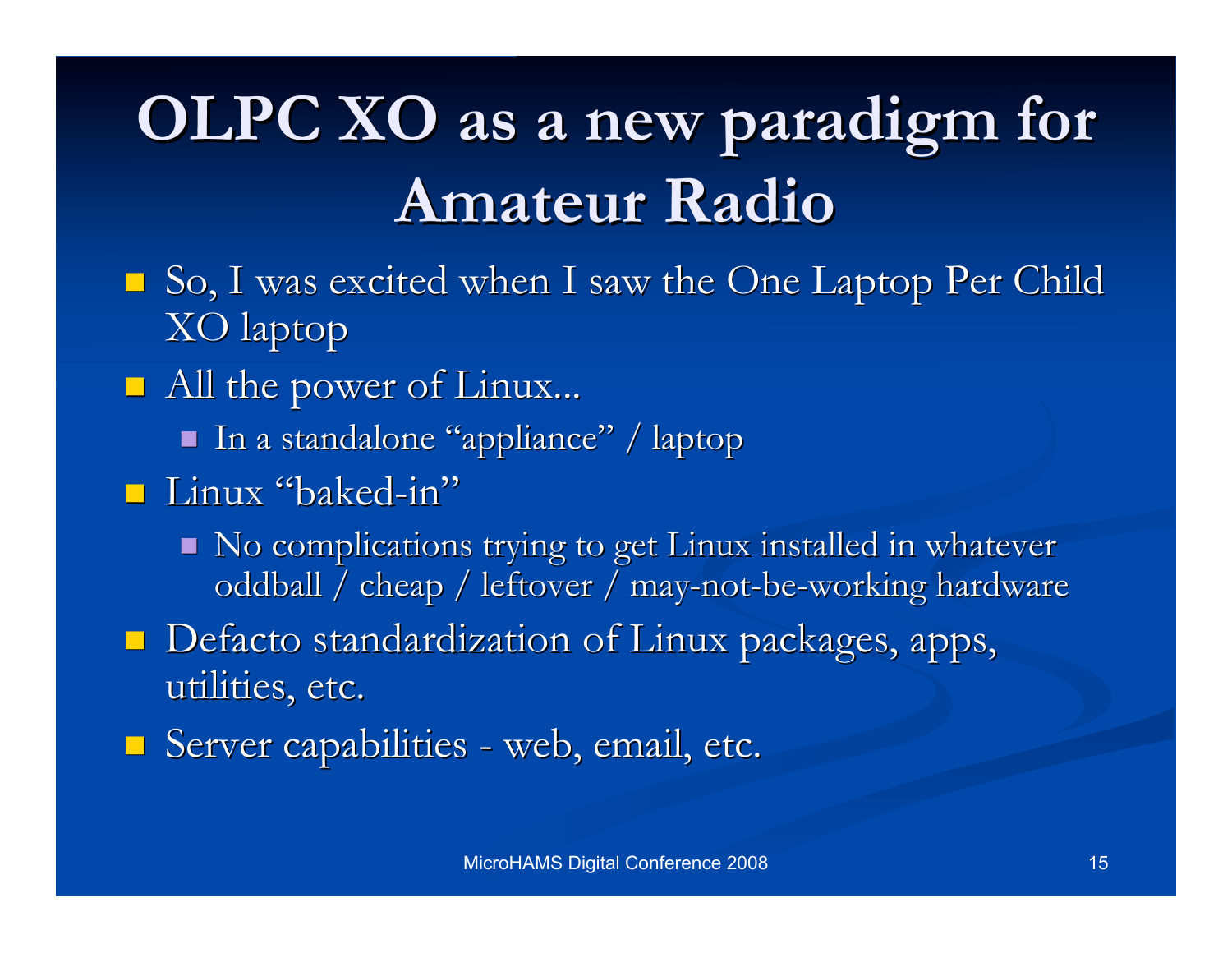## **OLPC XO as a new paradigm for Amateur Radio Amateur Radio**

- $\Box$  So, I was excited when I saw the One Laptop Per Child XO laptop
- **All the power of Linux...** 
	- In a standalone "appliance" / laptop
- Linux "baked-in"
	- No complications trying to get Linux installed in whatever oddball / cheap / leftover / may-not-be-working hardware
- $\Box$  Defacto standardization of Linux packages, apps, utilities, etc.
- **Server capabilities web, email, etc.**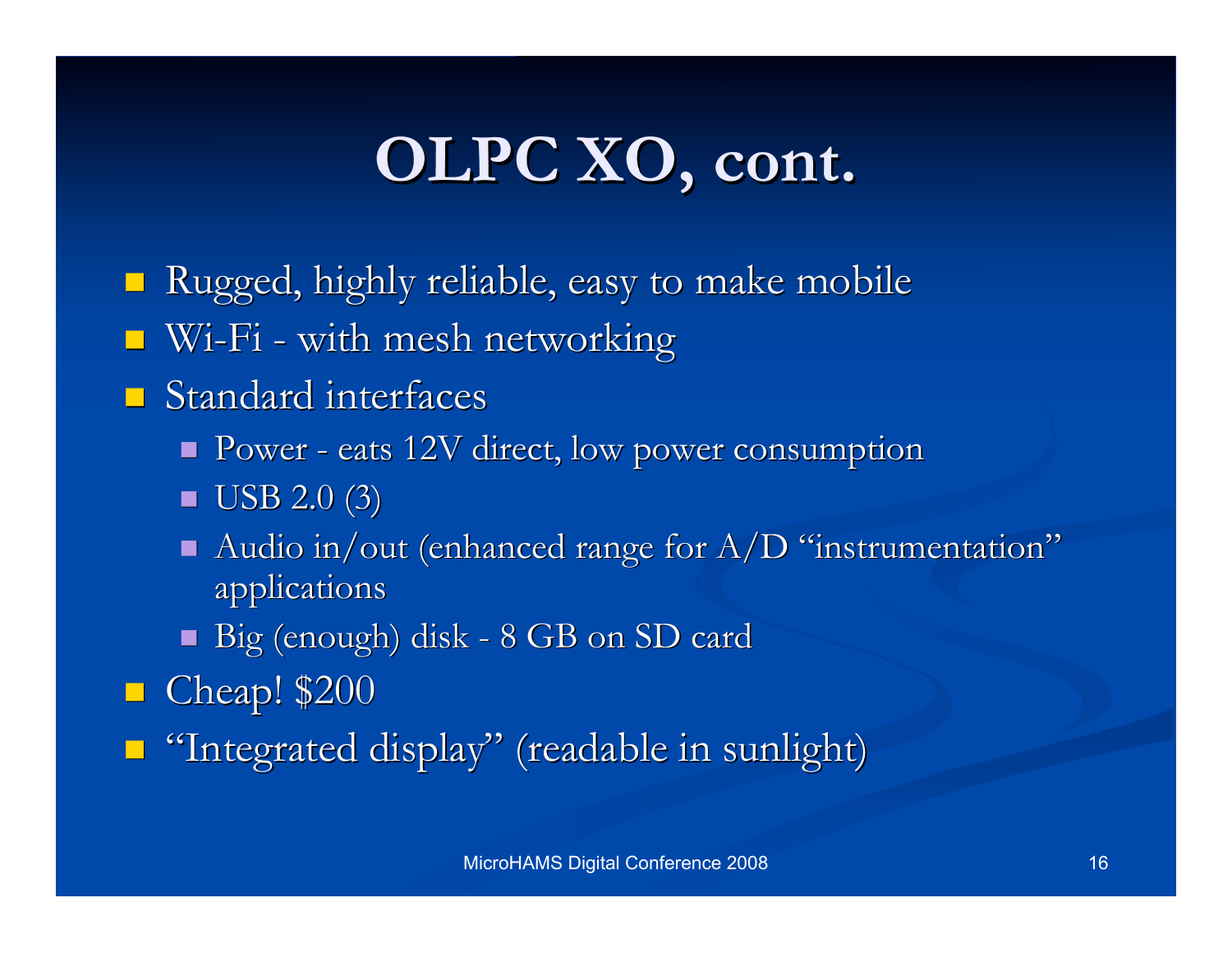### **OLPC XO, cont. OLPC XO, cont.**

Rugged, highly reliable, easy to make mobile Rugged, highly reliable, easy to make mobile

 $\blacksquare$  Wi-Fi - with mesh networking

#### $\blacksquare$  Standard interfaces

- Power eats 12V direct, low power consumption
- $\blacksquare$  USB 2.0 (3)
- Audio in/out (enhanced range for  $A/D$  "instrumentation" applications applications
- Big (enough) disk 8 GB on SD card

**Cheap!** \$200

 $\blacksquare$  "Integrated display" (readable in sunlight)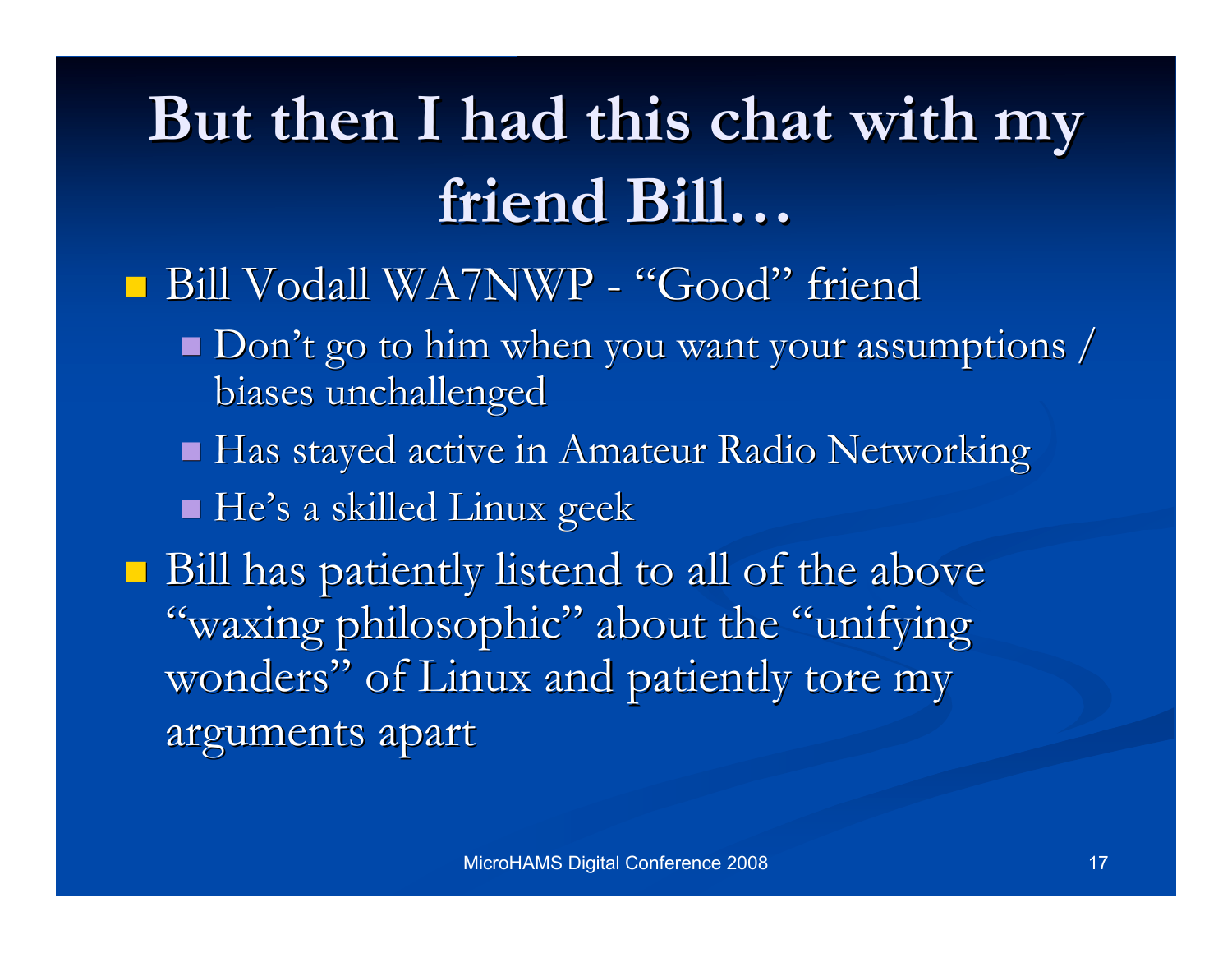## **But then I had this chat with my But then I had this chat with my friend Bill friend Bill…**

#### Bill Vodall WA7NWP - "Good" friend

- $\blacksquare$  Don't go to him when you want your assumptions / biases unchallenged
- Has stayed active in Amateur Radio Networking
- He's a skilled Linux geek

 $\blacksquare$  Bill has patiently listend to all of the above "waxing philosophic" about the "unifying" wonders" of Linux and patiently tore my arguments apart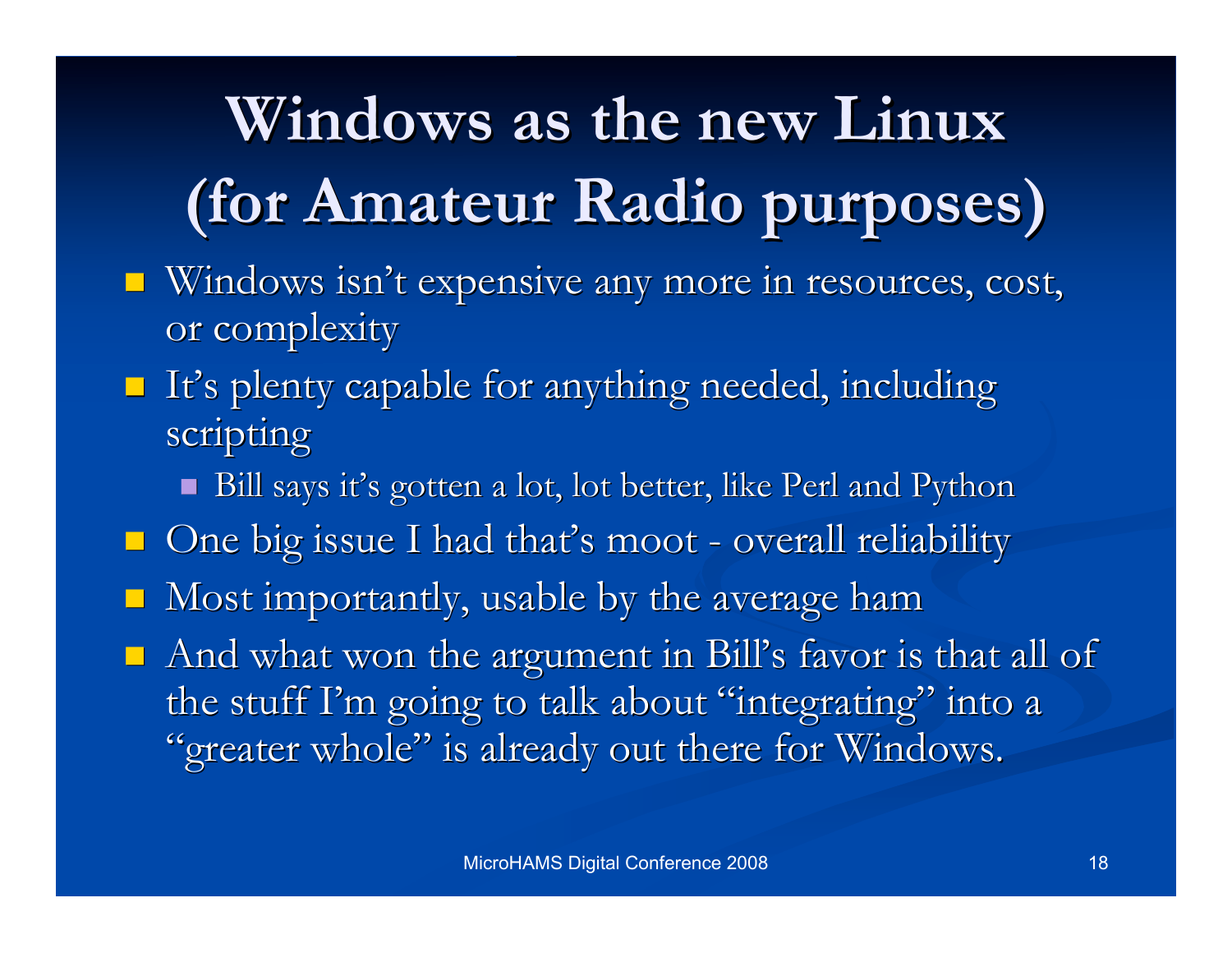# **Windows as the new Linux Windows as the new Linux (for Amateur Radio purposes) (for Amateur Radio purposes)**

- Windows isn't expensive any more in resources, cost, or complexity
- $\blacksquare$  It's plenty capable for anything needed, including scripting
	- Bill says it's gotten a lot, lot better, like Perl and Python
- $\Box$  One big issue I had that's moot overall reliability
- Most importantly, usable by the average ham Most importantly, usable by the average ham
- $\blacksquare$  And what won the argument in Bill's favor is that all of the stuff I'm going to talk about "integrating" into a "greater whole" is already out there for Windows.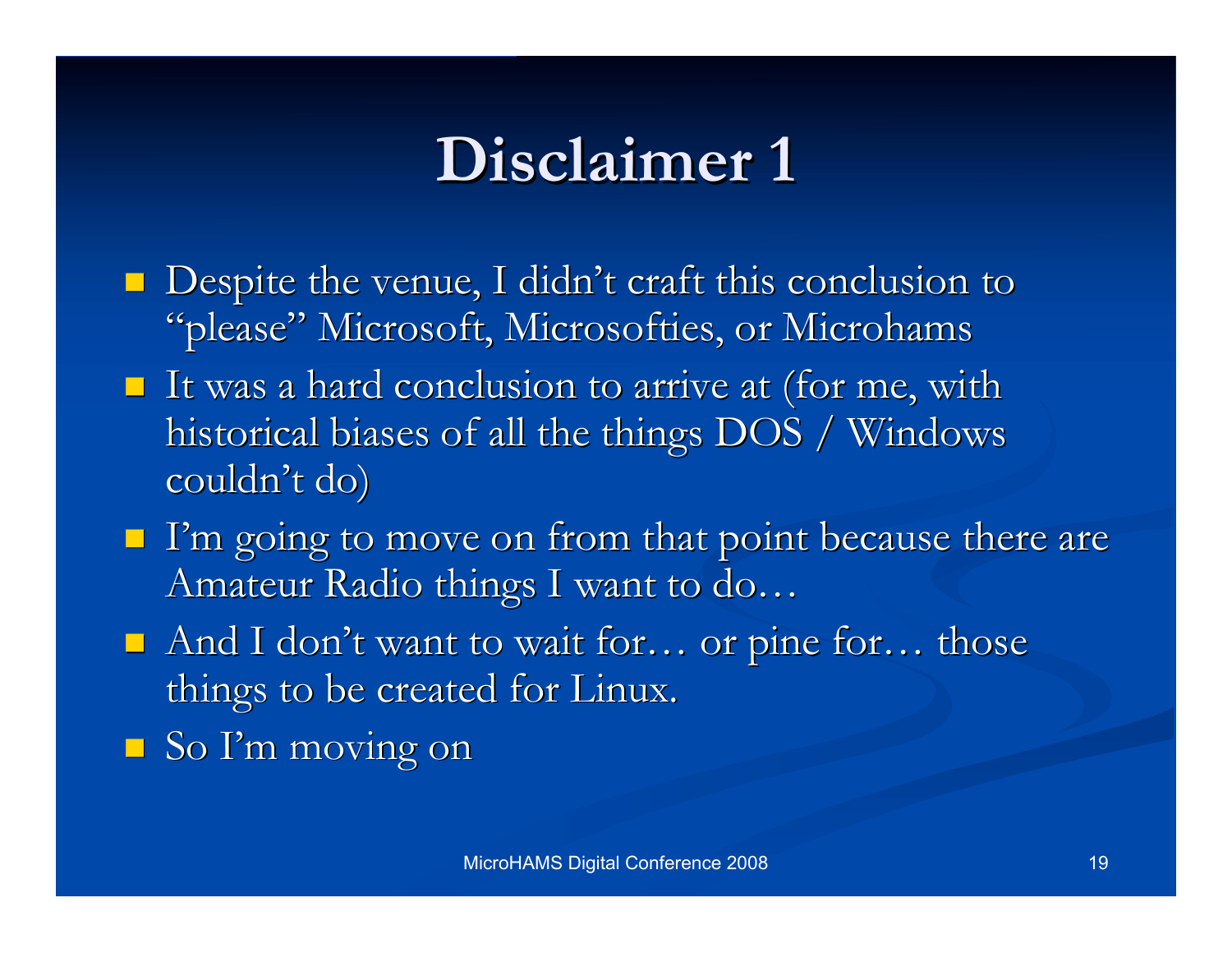### **Disclaimer 1 Disclaimer 1**

- $\blacksquare$  Despite the venue, I didn't craft this conclusion to "please" Microsoft, Microsofties, or Microhams
- It was a hard conclusion to arrive at (for me, with historical biases of all the things DOS / Windows couldn't do)
- $\blacksquare$  I'm going to move on from that point because there are Amateur Radio things I want to do...
- And I don't want to wait for... or pine for... those things to be created for Linux.
- $\blacksquare$  So I'm moving on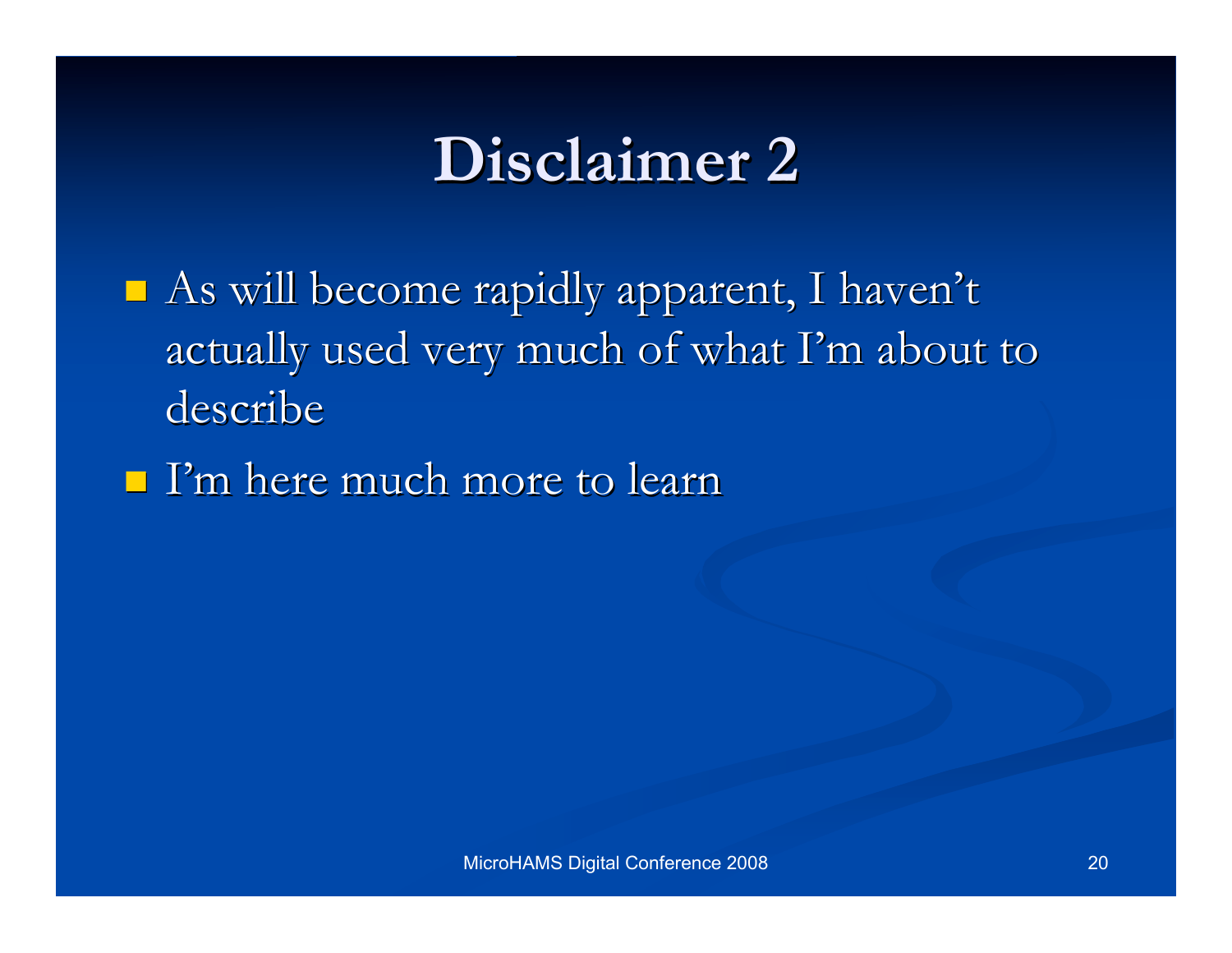### **Disclaimer 2 Disclaimer 2**

- $\blacksquare$  As will become rapidly apparent, I haven't actually used very much of what I'm about to describe
- $\blacksquare$  I'm here much more to learn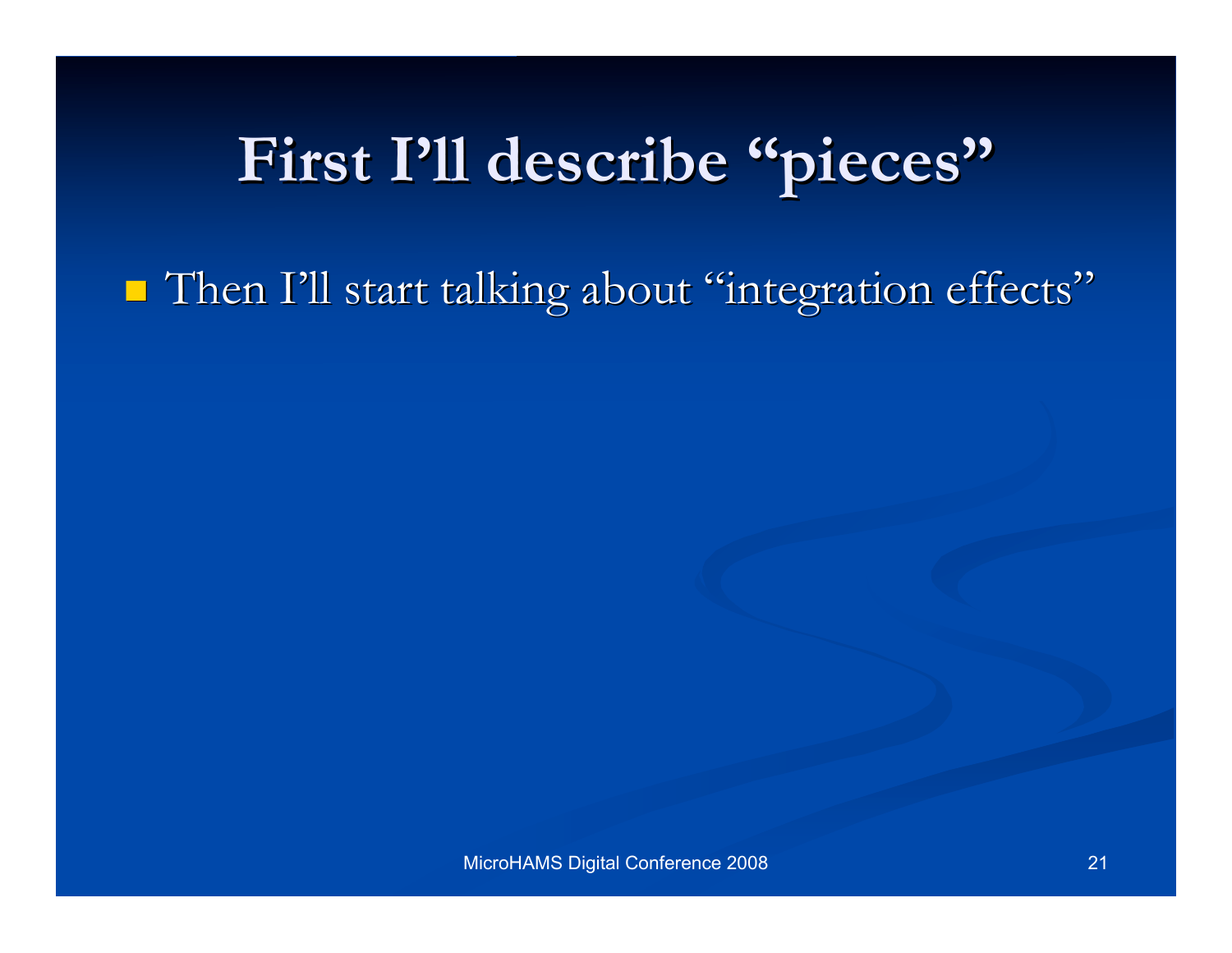## First I'll describe "pieces"

Then I'll start talking about "integration effects"

MicroHAMS Digital Conference 2008 21 21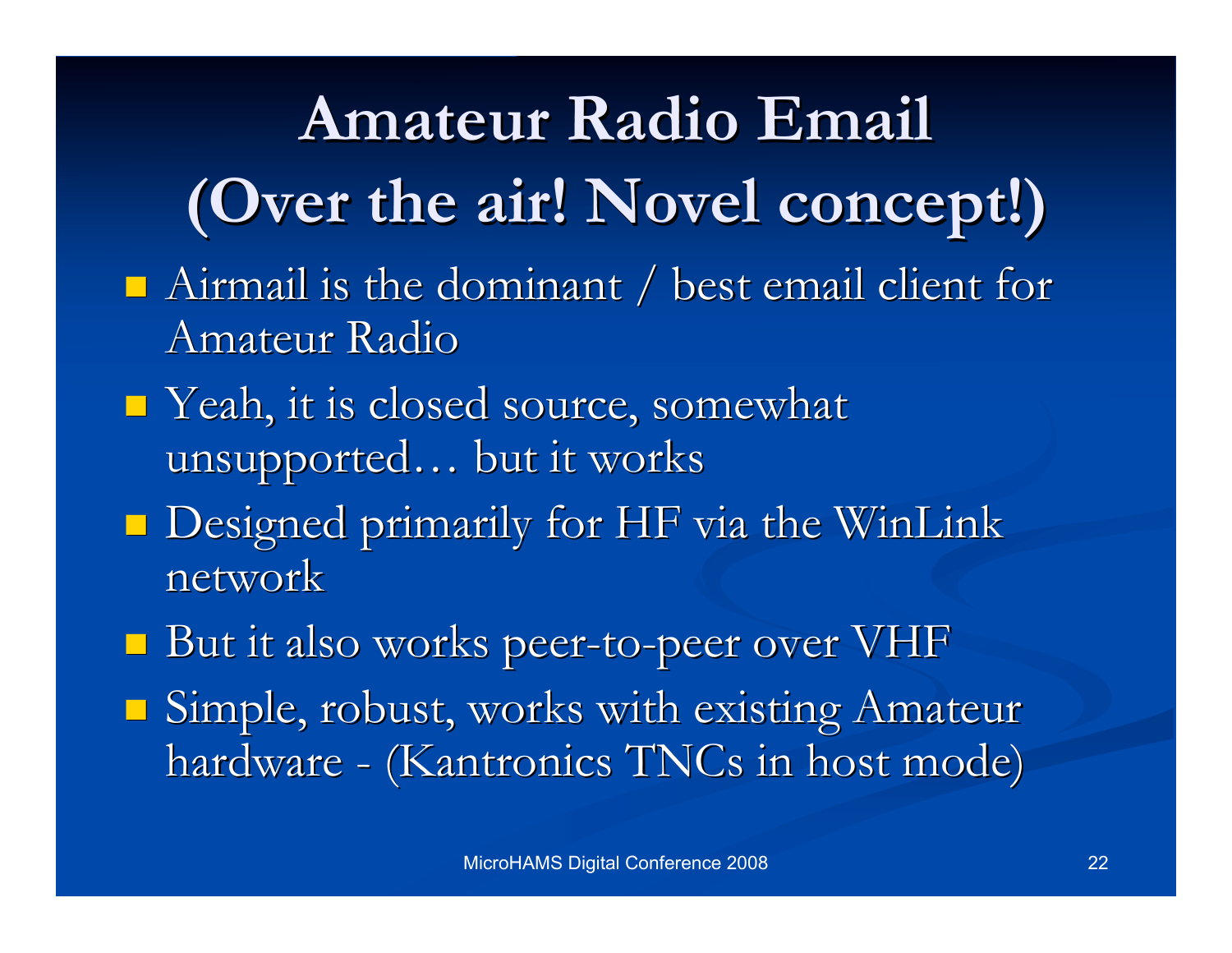**Amateur Radio Email Amateur Radio Email (Over the air! (Over the air! Novel concept!) Novel concept!)**  $\blacksquare$  Airmail is the dominant / best email client for Amateur Radio  $\blacksquare$  Yeah, it is closed source, somewhat unsupported... but it works  $\blacksquare$  Designed primarily for HF via the WinLink network But it also works peer-to-peer over VHF **Simple, robust, works with existing Amateur** hardware - (Kantronics TNCs in host mode)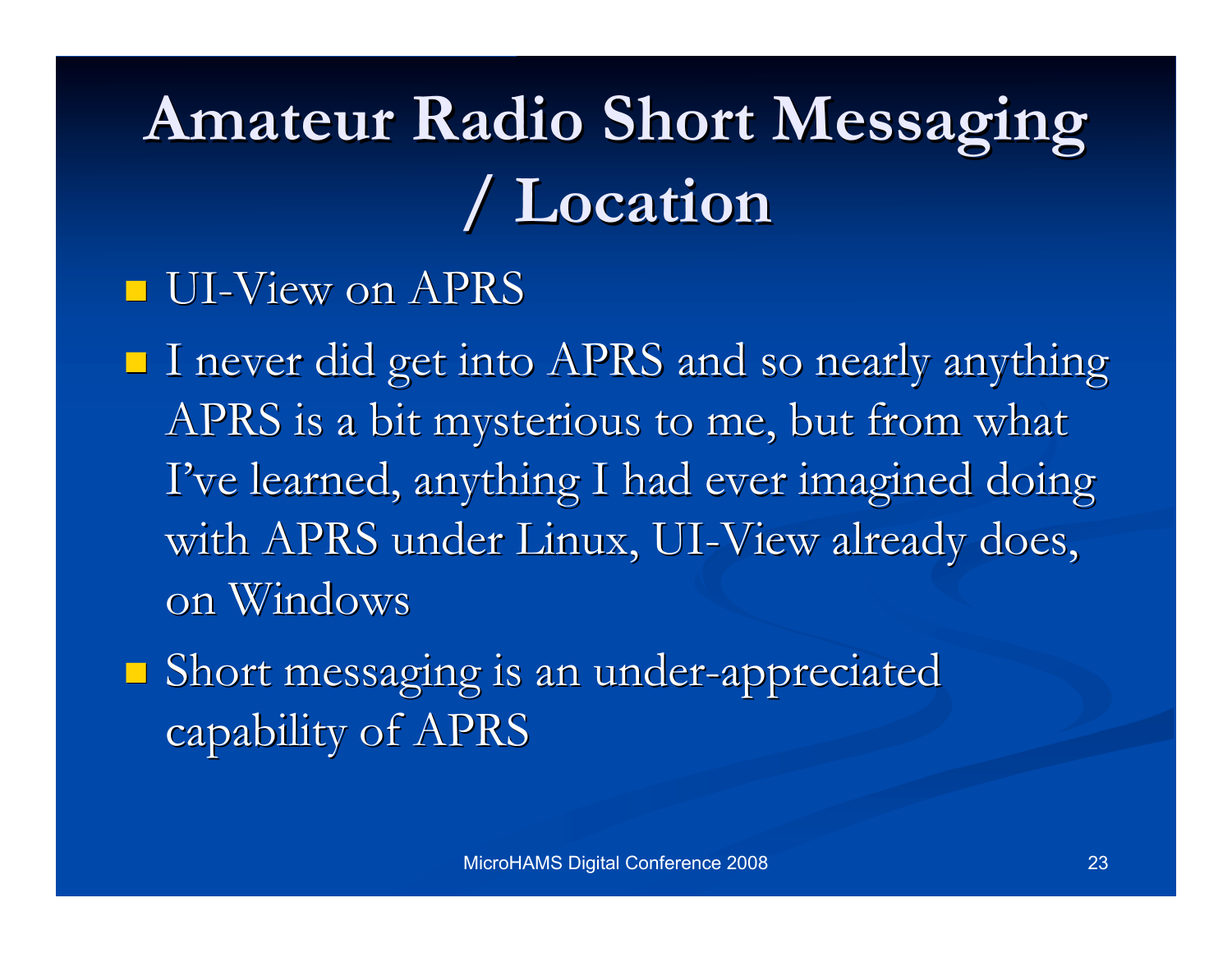## **Amateur Radio Short Messaging Amateur Radio Short Messaging / Location / Location**

#### **UI-View on APRS**

 $\blacksquare$  I never did get into APRS and so nearly anything APRS is a bit mysterious to me, but from what I've learned, anything I had ever imagined doing with APRS under Linux, UI-View already does, on Windows

 $\blacksquare$  Short messaging is an under-appreciated capability of APRS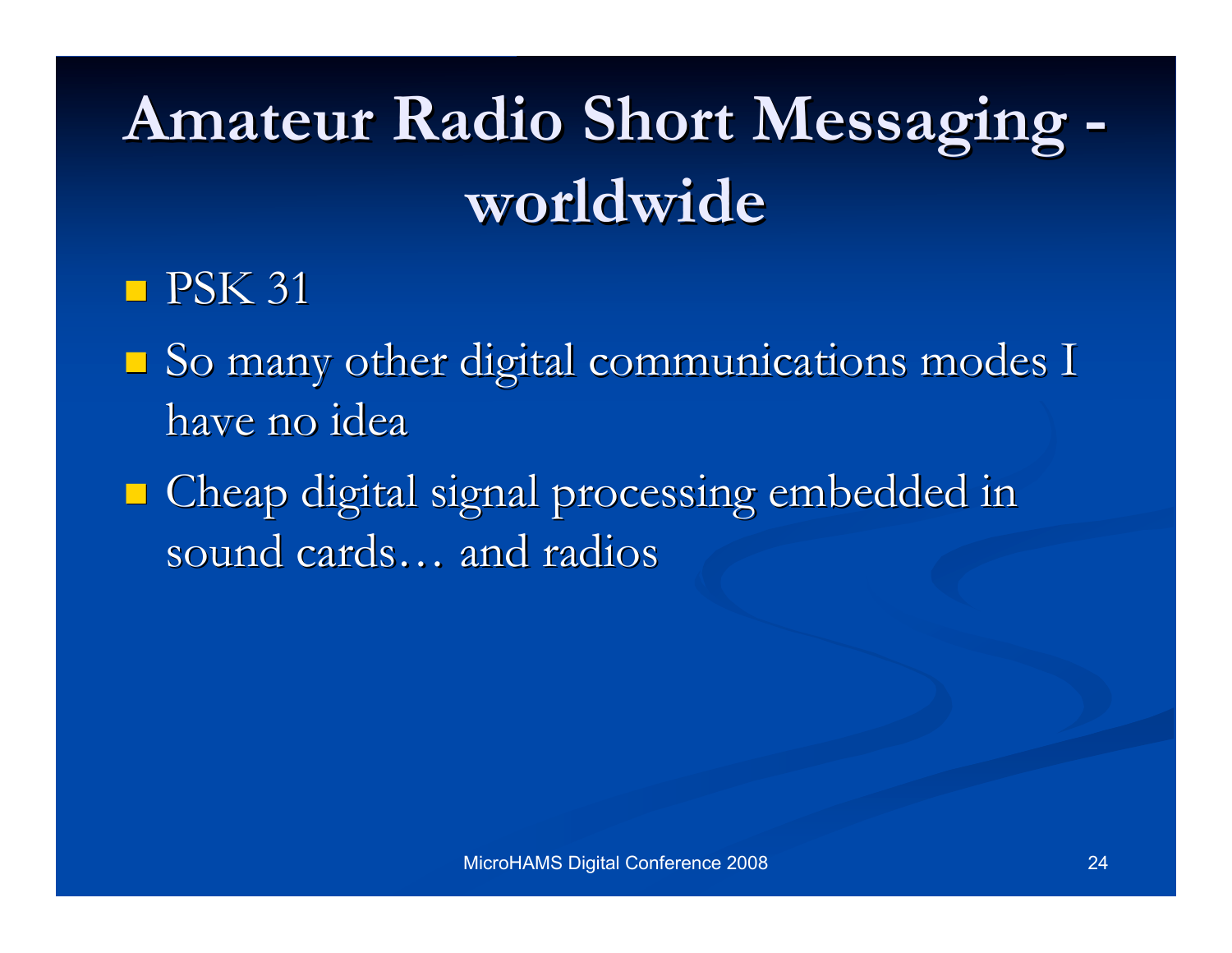# **Amateur Radio Short Messaging - Amateur Radio Short Messaging worldwide worldwide**

#### $\blacksquare$  PSK 31

- So many other digital communications modes I So many other digital communications modes I have no idea
- Cheap digital signal processing embedded in Cheap digital signal processing embedded in sound cards... and radios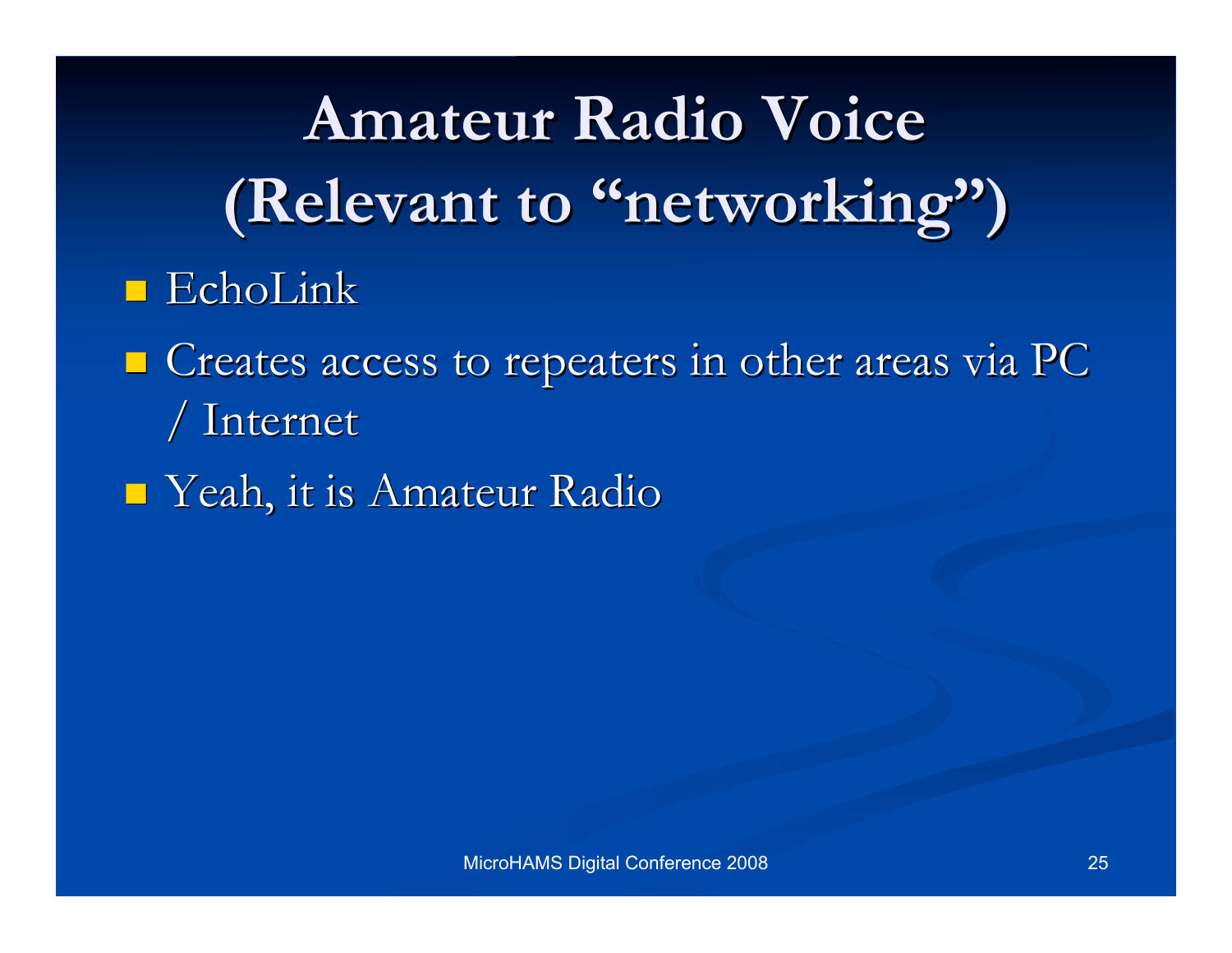**Amateur Radio Voice Amateur Radio Voice (Relevant to "networking")**  $\blacksquare$  EchoLink

- $\blacksquare$  Creates access to repeaters in other areas via PC / Internet / Internet
- $\blacksquare$  Yeah, it is Amateur Radio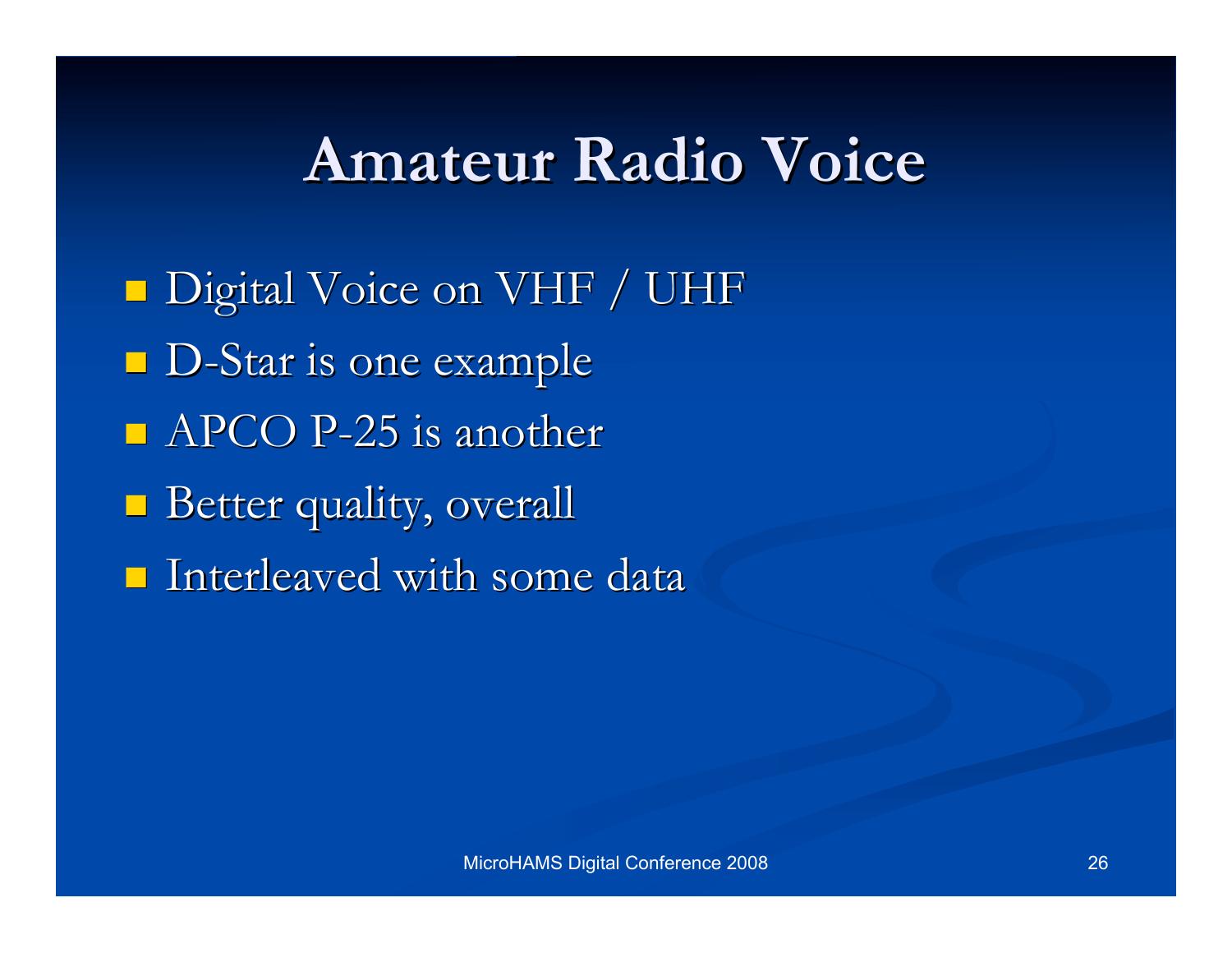### **Amateur Radio Voice Amateur Radio Voice**

**Digital Voice on VHF / UHF** D-Star is one example  $\blacksquare$  APCO P-25 is another **Better quality, overall**  $\blacksquare$  Interleaved with some data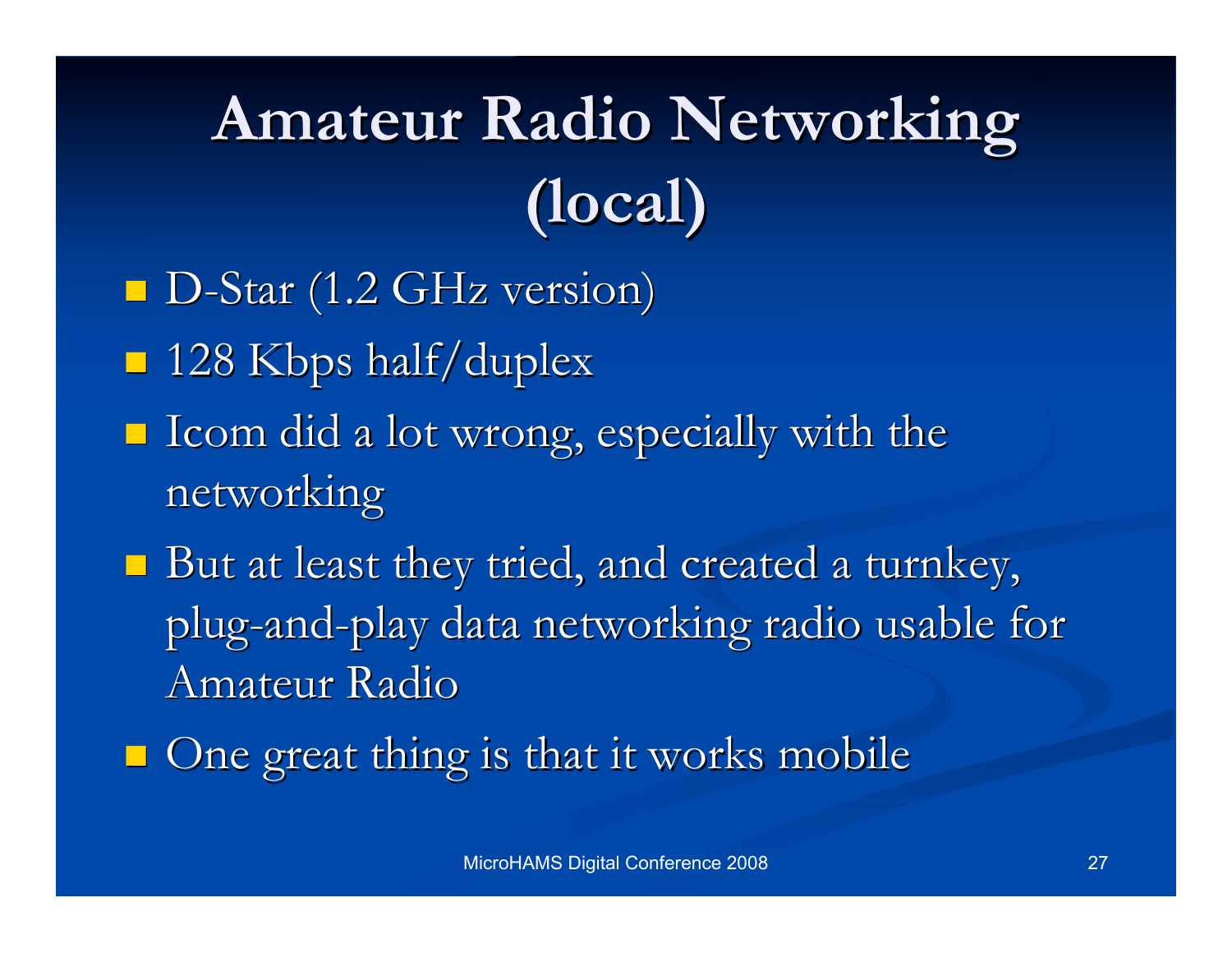# **Amateur Radio Networking Amateur Radio Networking (local) (local)**

- $\blacksquare$  D-Star (1.2 GHz version)
- $\blacksquare$  128 Kbps half/duplex
- $\blacksquare$  Icom did a lot wrong, especially with the networking networking
- $\blacksquare$  But at least they tried, and created a turnkey, plug-and-play data networking radio usable for Amateur Radio
- $\Box$  One great thing is that it works mobile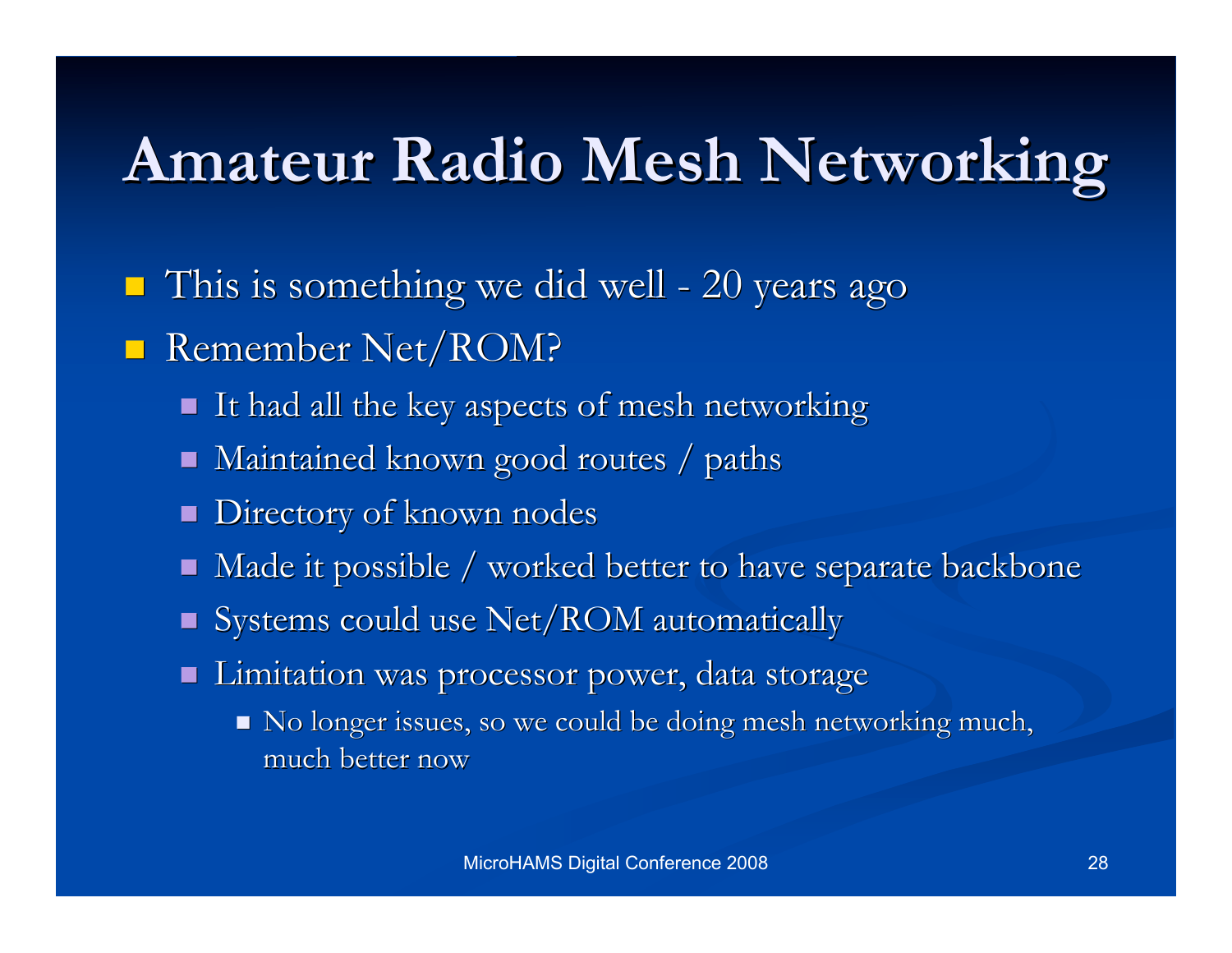### **Amateur Radio Mesh Networking Amateur Radio Mesh Networking**

- $\blacksquare$  This is something we did well 20 years ago
- Remember Net/ROM?
	- $\blacksquare$  It had all the key aspects of mesh networking
	- $\blacksquare$  Maintained known good routes / paths
	- **Directory of known nodes**
	- $\blacksquare$  Made it possible / worked better to have separate backbone
	- $\blacksquare$  Systems could use Net/ROM automatically
	- **Limitation was processor power, data storage** 
		- No longer issues, so we could be doing mesh networking much, much better now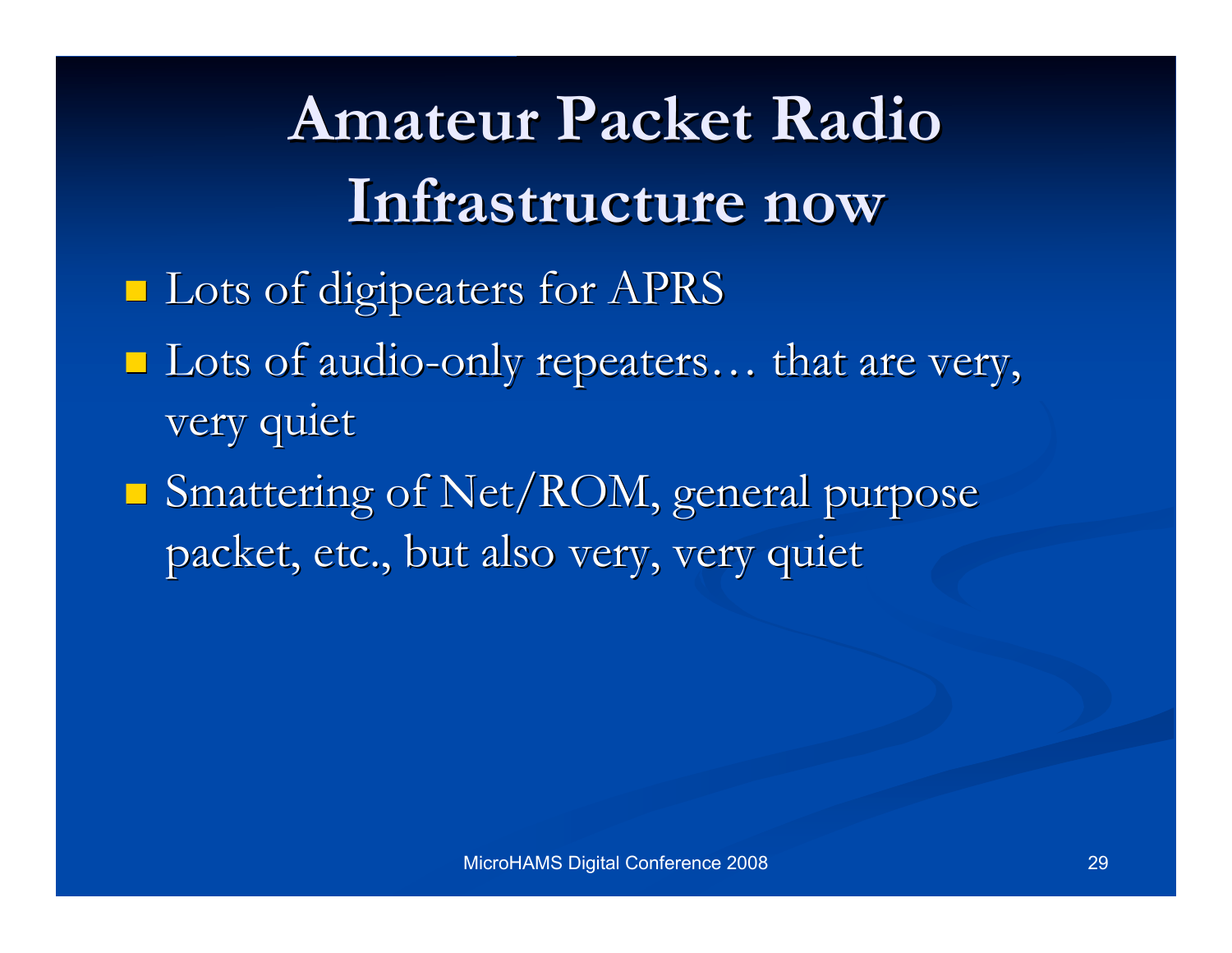**Amateur Packet Radio Amateur Packet Radio Infrastructure now Infrastructure now Lots of digipeaters for APRS**  $\blacksquare$  Lots of audio-only repeaters... that are very, very quiet  $\blacksquare$  Smattering of Net/ROM, general purpose

packet, etc., but also very, very quiet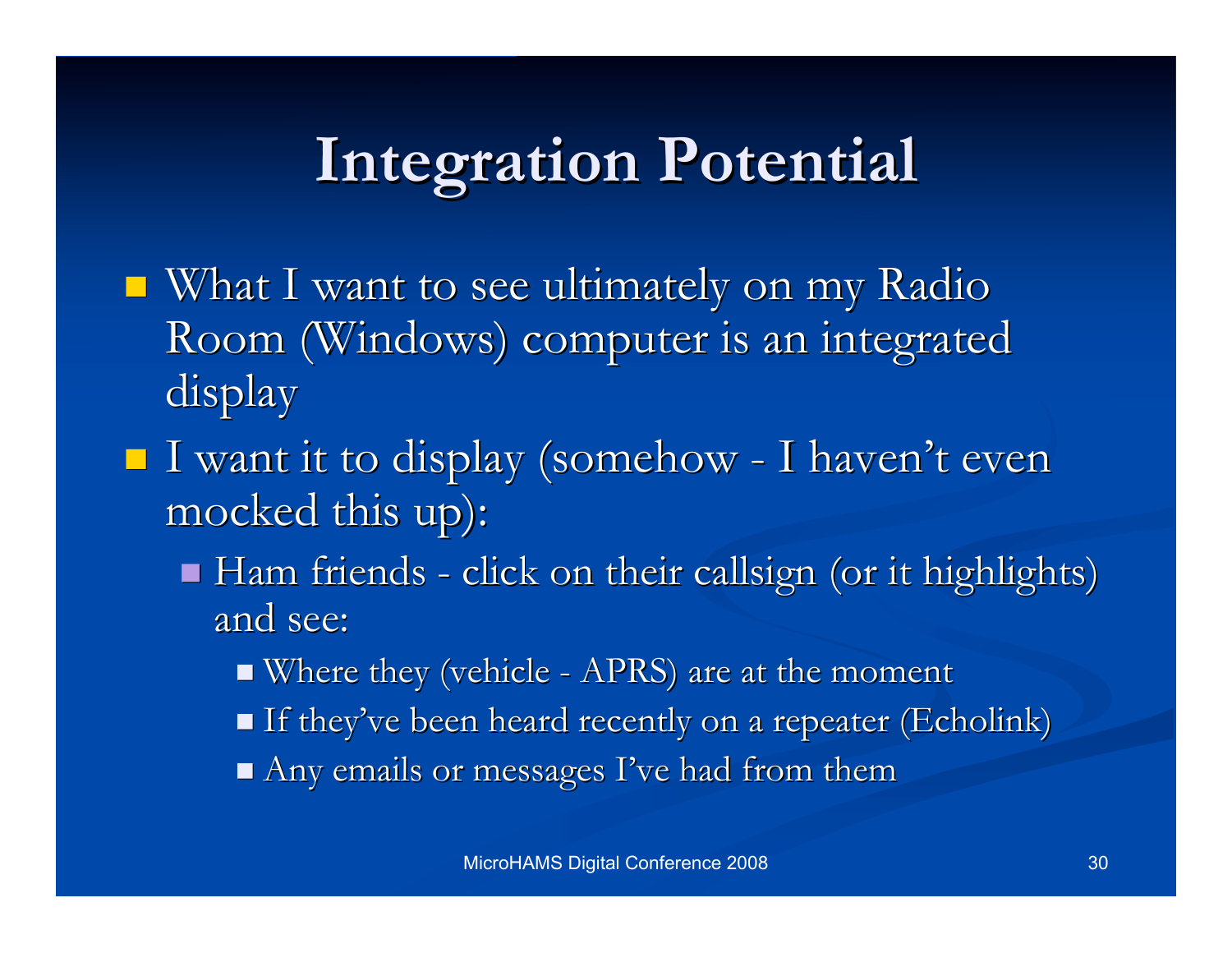### **Integration Potential Integration Potential**

- What I want to see ultimately on my Radio Room (Windows) computer is an integrated display
- I want it to display (somehow I haven't even mocked this up):
	- $\blacksquare$  Ham friends click on their callsign (or it highlights) and see:
		- $\blacksquare$  Where they (vehicle APRS) are at the moment
		- If they've been heard recently on a repeater (Echolink)
		- $\blacksquare$  Any emails or messages I've had from them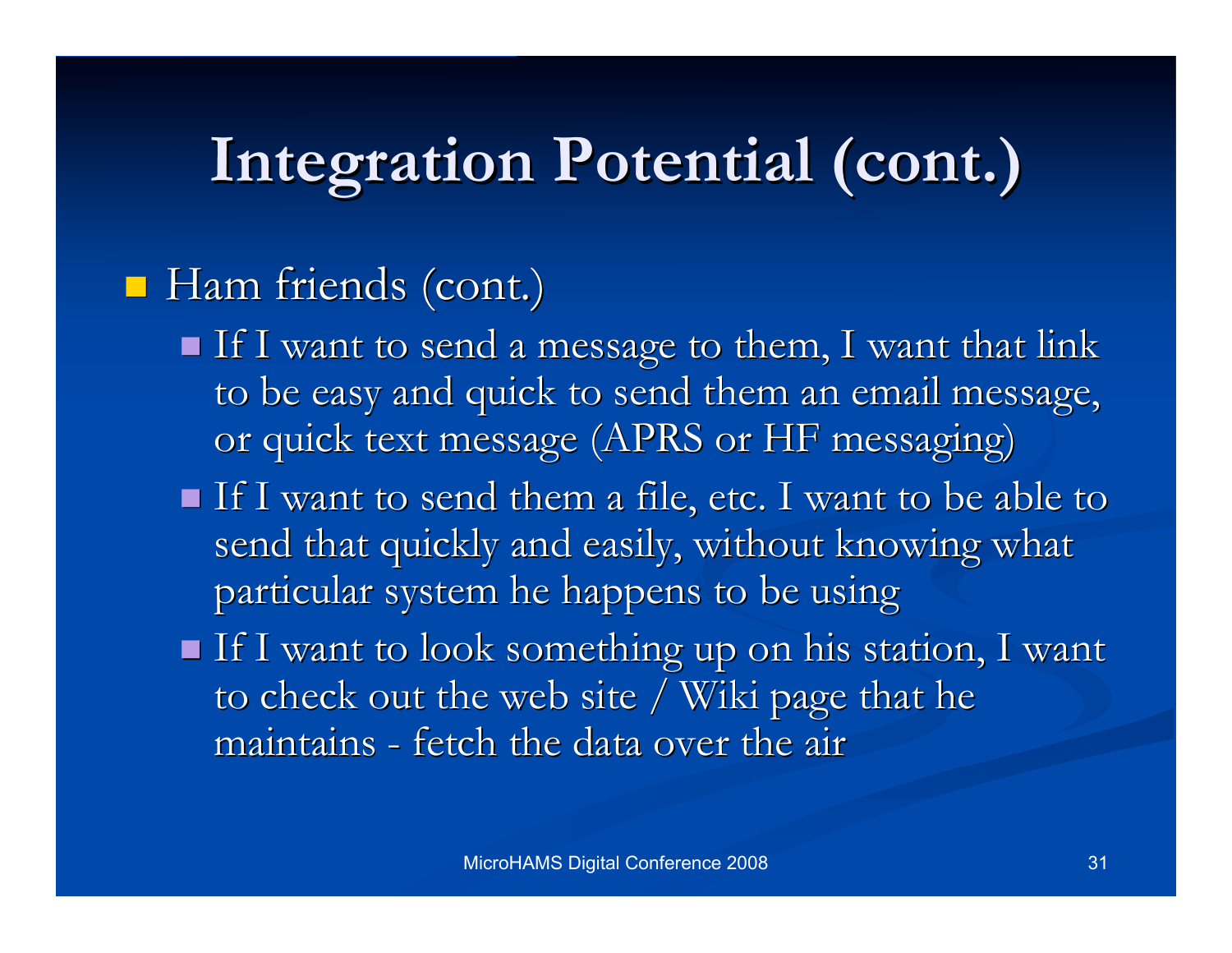## **Integration Potential (cont.)**

#### $\blacksquare$  Ham friends (cont.)

- $\blacksquare$  If I want to send a message to them, I want that link to be easy and quick to send them an email message, or quick text message (APRS or HF messaging)
- $\blacksquare$  If I want to send them a file, etc. I want to be able to send that quickly and easily, without knowing what particular system he happens to be using particular system he happens to be using
- $\blacksquare$  If I want to look something up on his station, I want to check out the web site / Wiki page that he maintains - fetch the data over the air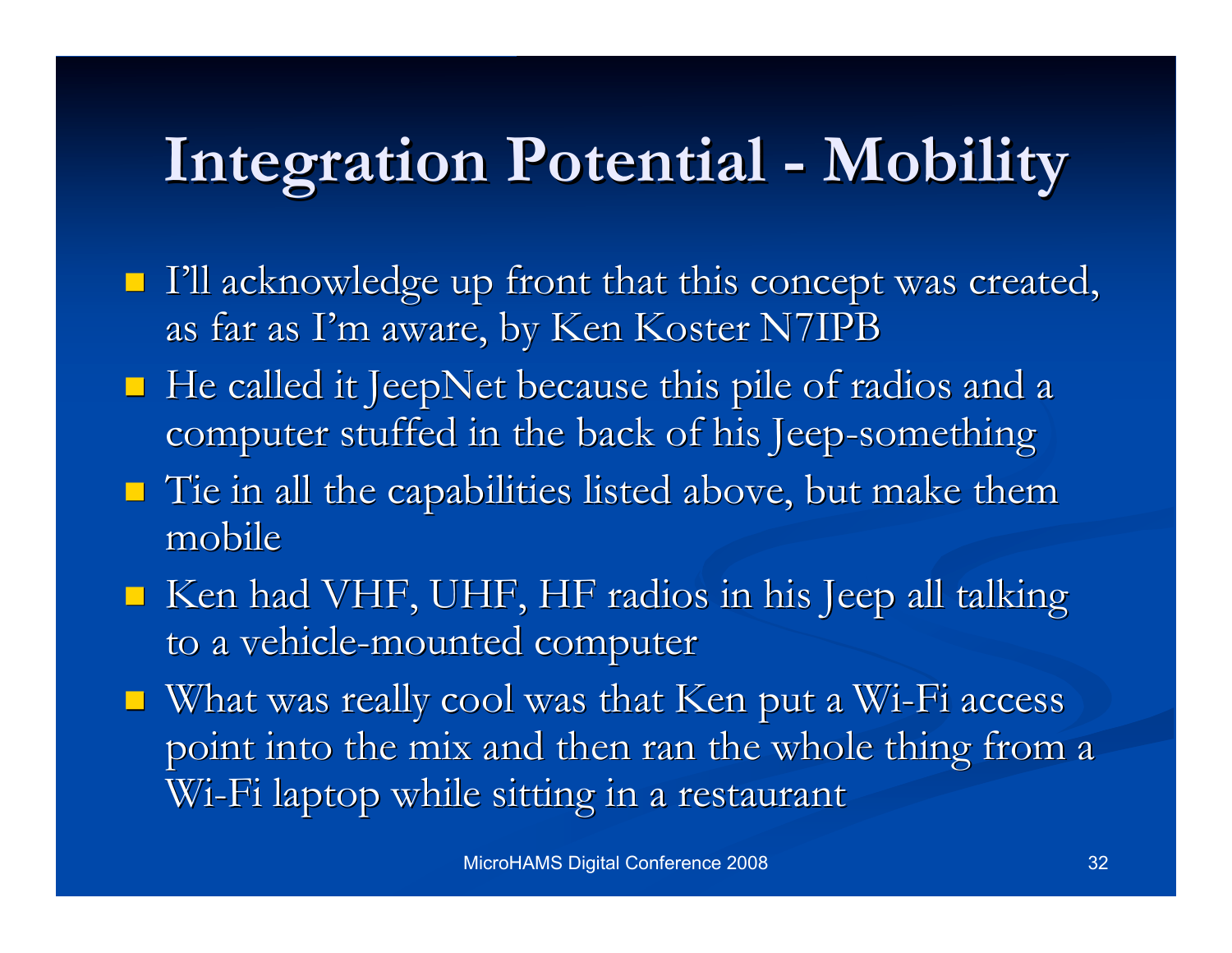## **Integration Potential - Mobility Integration Potential - Mobility**

- I'll acknowledge up front that this concept was created, as far as I'm aware, by Ken Koster N7IPB
- He called it JeepNet because this pile of radios and a computer stuffed in the back of his Jeep-something
- $\blacksquare$  Tie in all the capabilities listed above, but make them mobile
- $\blacksquare$  Ken had VHF, UHF, HF radios in his Jeep all talking to a vehicle-mounted computer
- $\blacksquare$  What was really cool was that Ken put a Wi-Fi access point into the mix and then ran the whole thing from a Wi-Fi laptop while sitting in a restaurant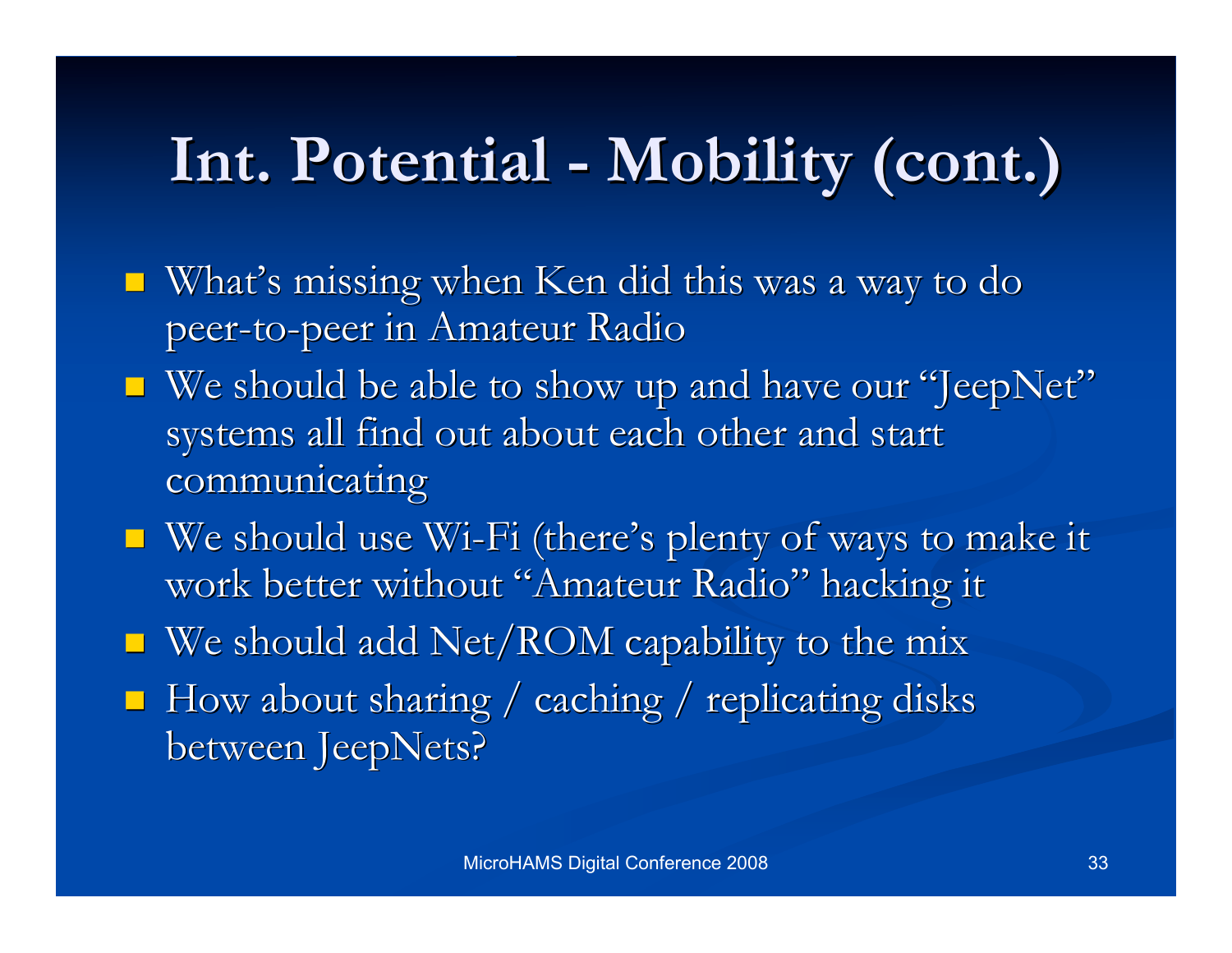## **Int. Potential - Mobility (cont.) . Potential - Mobility (cont.)**

- $\blacksquare$  What's missing when Ken did this was a way to do peer-to-peer in Amateur Radio
- $\blacksquare$  We should be able to show up and have our "JeepNet" systems all find out about each other and start communicating
- $\blacksquare$  We should use Wi-Fi (there's plenty of ways to make it work better without "Amateur Radio" hacking it
- $\blacksquare$  We should add Net/ROM capability to the mix
- $\blacksquare$  How about sharing / caching / replicating disks between JeepNets?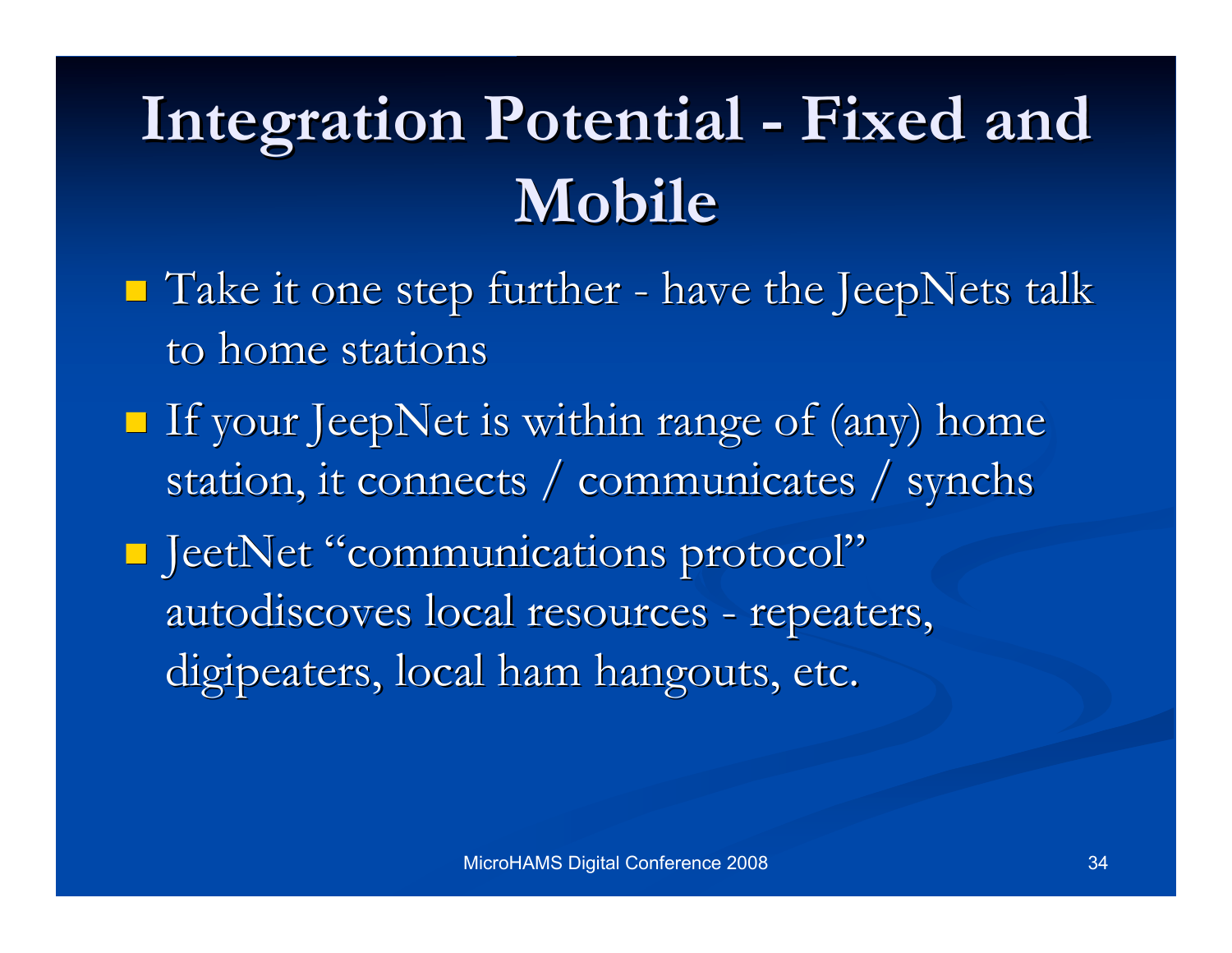## **Integration Potential - Fixed Integration Potential - Fixed and Mobile**

- $\blacksquare$  Take it one step further have the JeepNets talk to home stations
- If your JeepNet is within range of (any) home station, it connects / communicates / synchs

**I** JeetNet "communications protocol" autodiscoves local resources - repeaters, digipeaters, local ham hangouts, etc.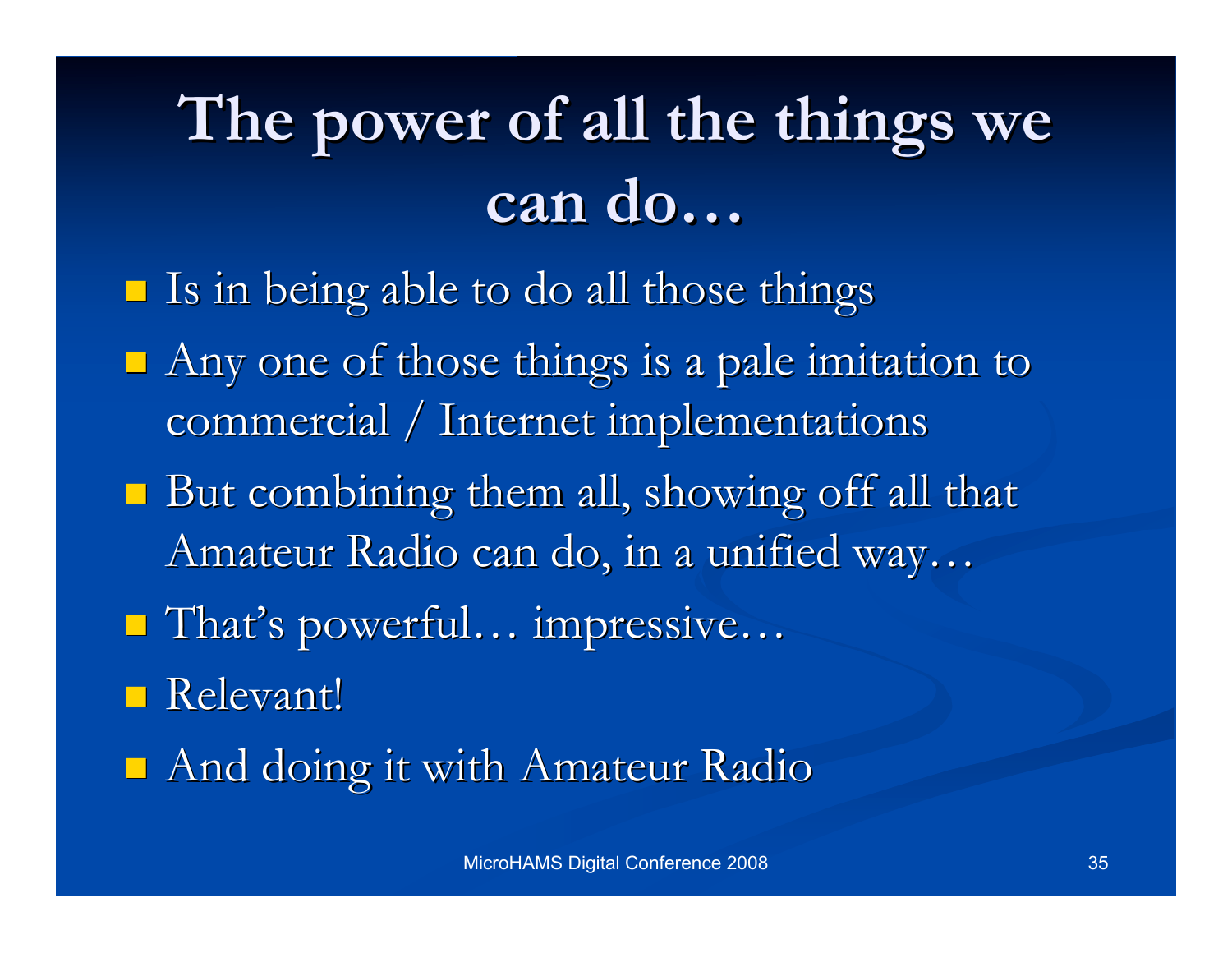## **The power of The power of all the things we all the things we can do…**

- $\blacksquare$  Is in being able to do all those things
- Any one of those things is a pale imitation to commercial / Internet implementations
- $\blacksquare$  But combining them all, showing off all that Amateur Radio can do, in a unified way...
- That's powerful... impressive...
- **Relevant!**
- $\blacksquare$  And doing it with Amateur Radio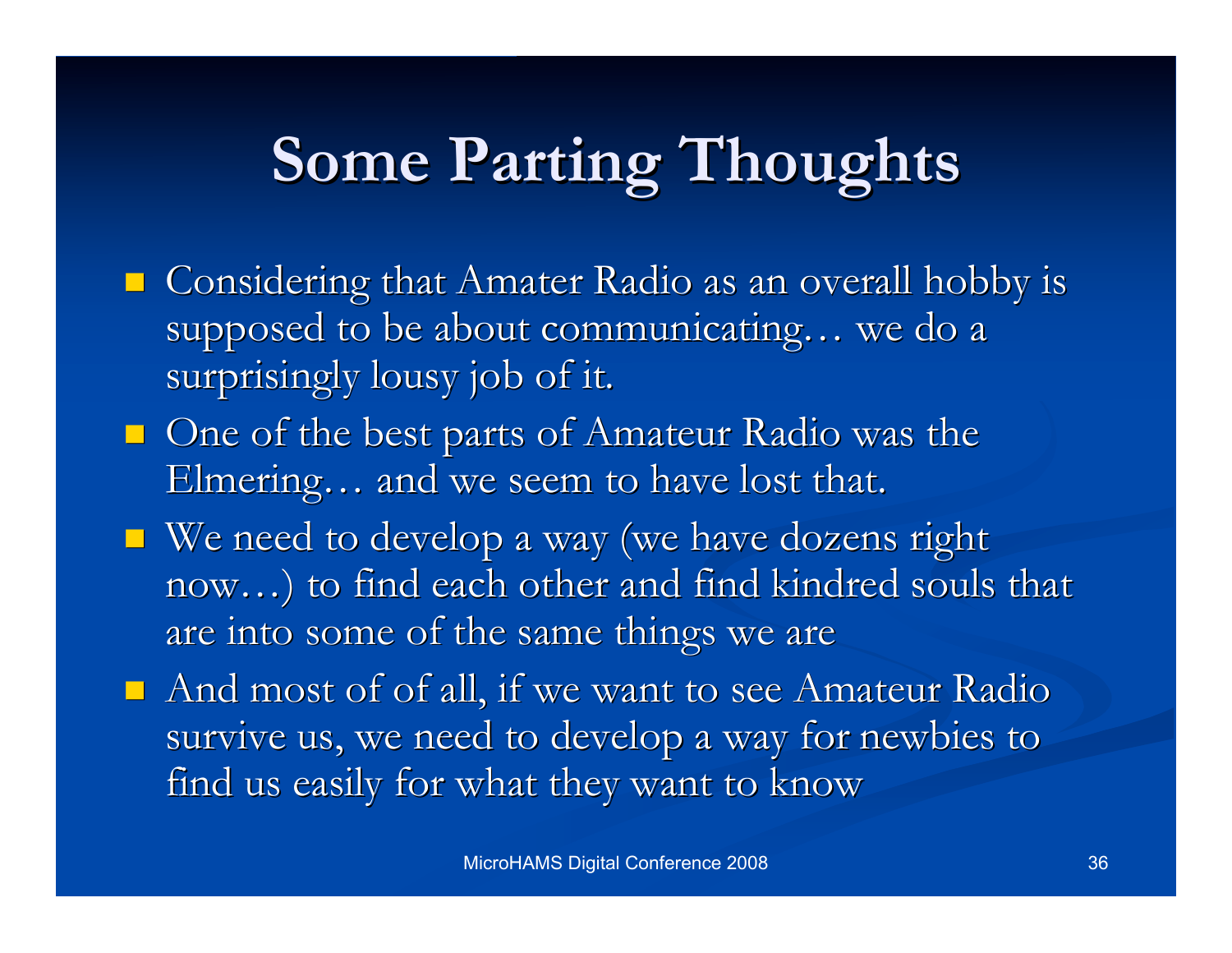## **Some Parting Thoughts**

- $\Box$  Considering that Amater Radio as an overall hobby is supposed to be about communicating... we do a surprisingly lousy job of it.
- $\Box$  One of the best parts of Amateur Radio was the Elmering... and we seem to have lost that.
- $\blacksquare$  We need to develop a way (we have dozens right now...) to find each other and find kindred souls that are into some of the same things we are
- $\Box$  And most of of all, if we want to see Amateur Radio survive us, we need to develop a way for newbies to find us easily for what they want to know find us easily for what they want to know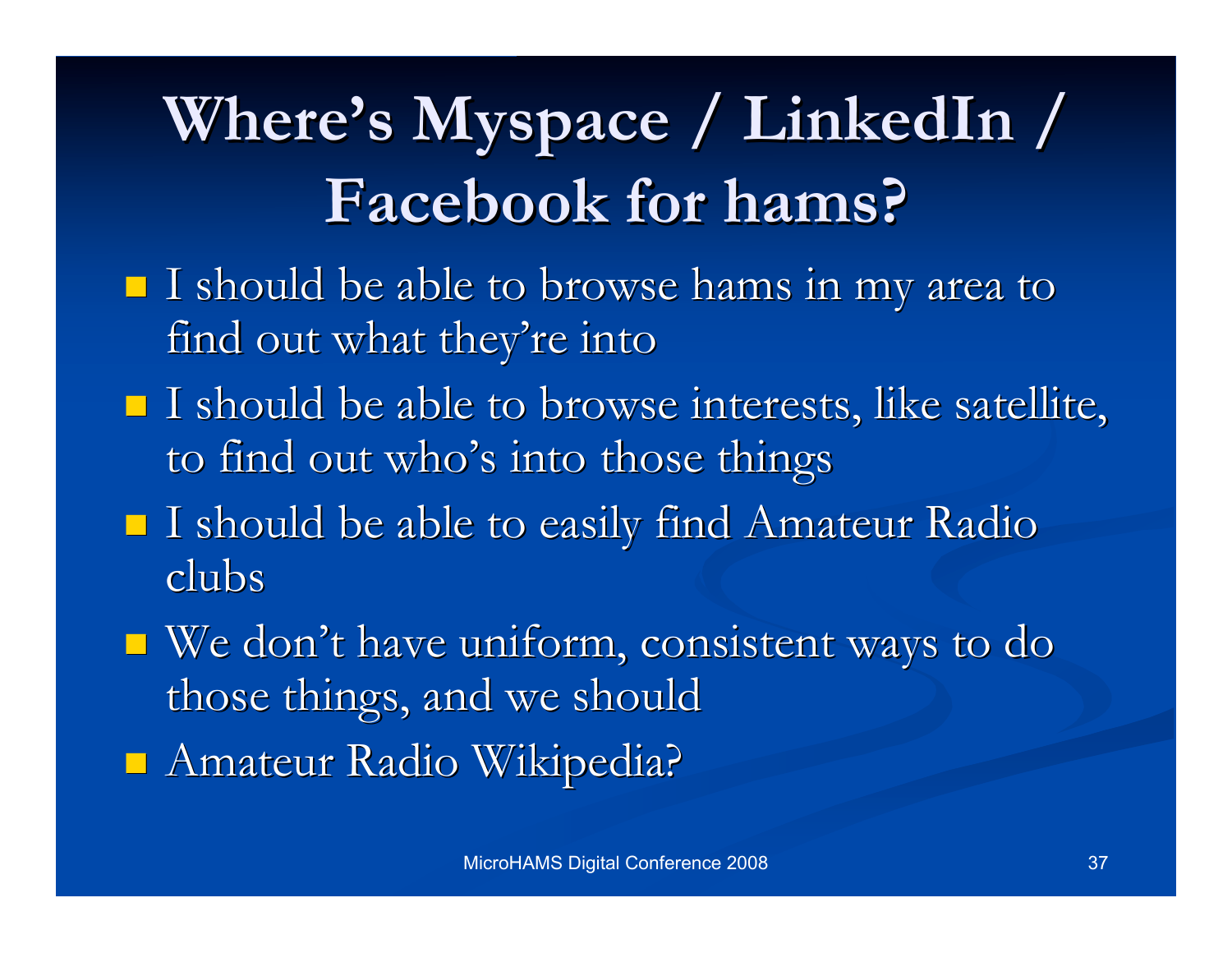## Where's Myspace / LinkedIn / **Facebook Facebook for hams? for hams?**

- $\blacksquare$  I should be able to browse hams in my area to find out what they're into
- $\blacksquare$  I should be able to browse interests, like satellite, to find out who's into those things
- I should be able to easily find Amateur Radio I should be able to easily find Amateur Radio clubs

 $\blacksquare$  We don't have uniform, consistent ways to do those things, and we should **Amateur Radio Wikipedia?**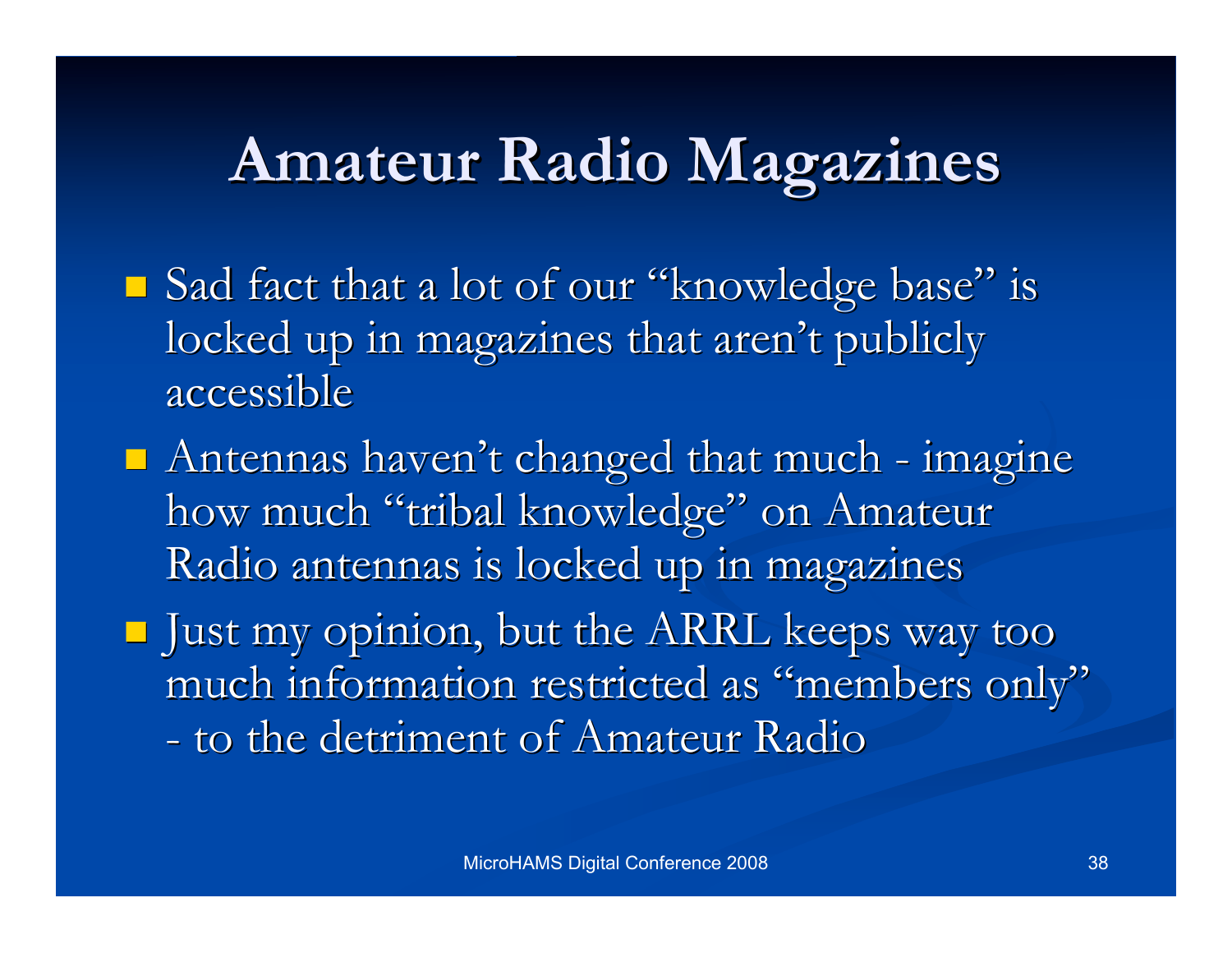### **Amateur Radio Magazines Amateur Radio Magazines**

- $\blacksquare$  Sad fact that a lot of our "knowledge base" is locked up in magazines that aren't publicly accessible accessible
- $\blacksquare$  Antennas haven't changed that much imagine how much "tribal knowledge" on Amateur Radio antennas is locked up in magazines
- $\blacksquare$  Just my opinion, but the ARRL keeps way too much information restricted as "members only" - to the detriment of Amateur Radio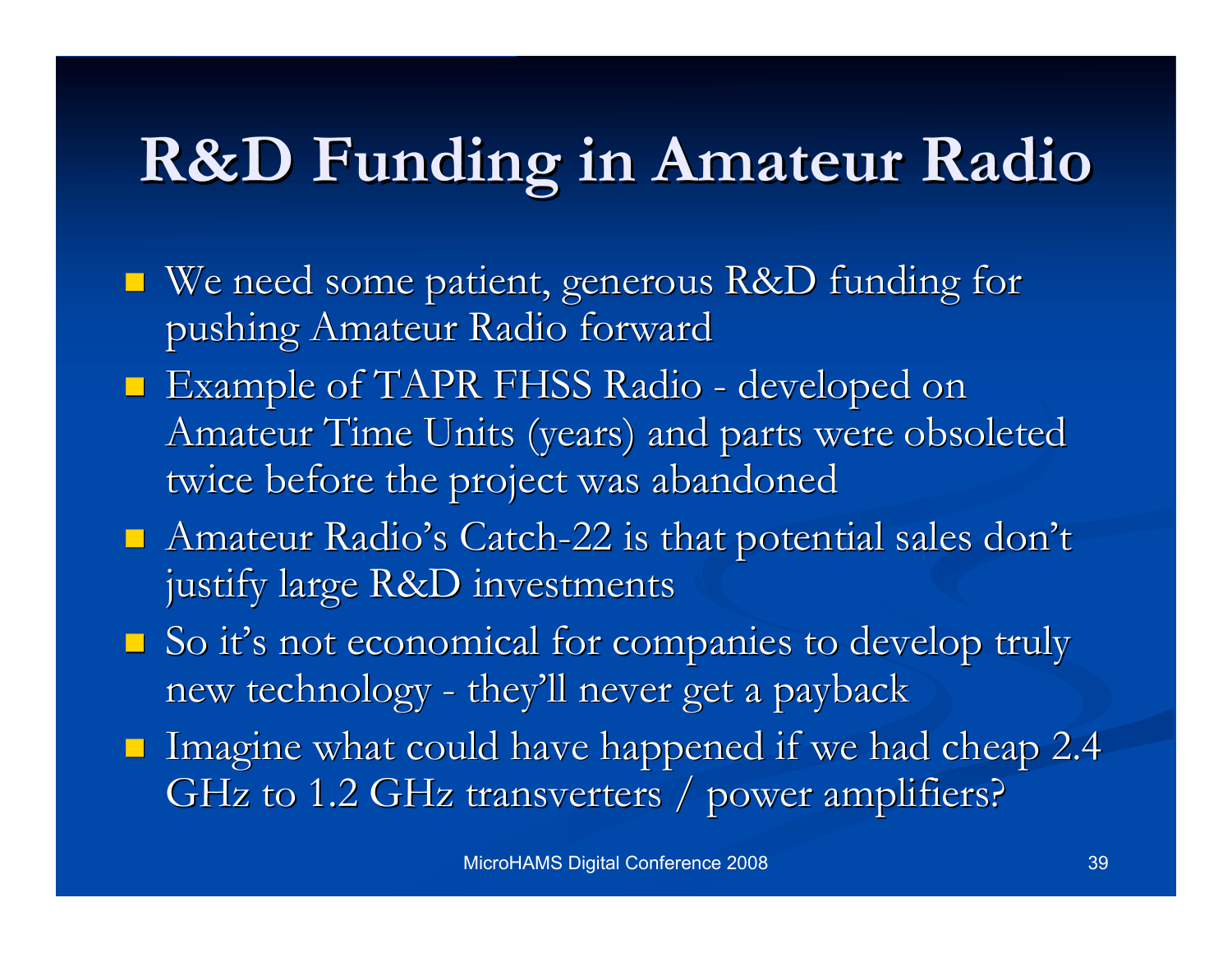### **R&D Funding R&D Funding in Amateur Radio in Amateur Radio**

- We need some patient, generous R&D funding for We need some patient, generous R&D funding for pushing Amateur Radio forward
- **Example of TAPR FHSS Radio developed on** Amateur Time Units (years) and parts were obsoleted twice before the project was abandoned
- Amateur Radio's Catch-22 is that potential sales don't justify large R&D investments
- $\Box$  So it's not economical for companies to develop truly new technology - they'll never get a payback
- Imagine what could have happened if we had cheap  $2.4$ GHz to 1.2 GHz transverters / power amplifiers?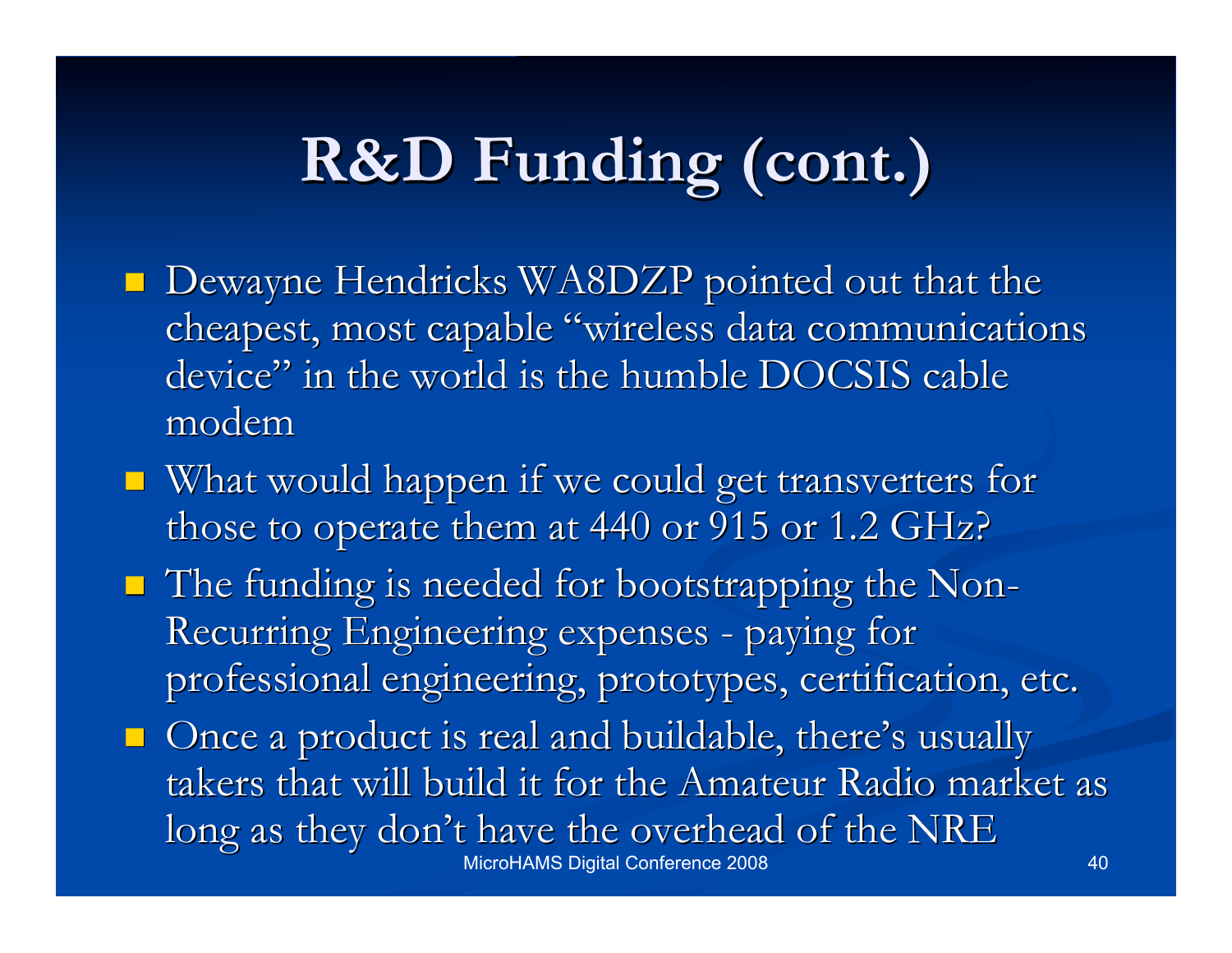### **R&D Funding R&D Funding (cont.) (cont.)**

- **Dewayne Hendricks WA8DZP pointed out that the** cheapest, most capable "wireless data communications" device" in the world is the humble DOCSIS cable modem
- $\blacksquare$  What would happen if we could get transverters for those to operate them at  $440$  or  $915$  or  $1.2$  GHz?
- $\blacksquare$  The funding is needed for bootstrapping the Non-Recurring Engineering expenses - paying for professional engineering, prototypes, certification, etc.
- MicroHAMS Digital Conference 2008 40  $\Box$  Once a product is real and buildable, there's usually takers that will build it for the Amateur Radio market as long as they don't have the overhead of the NRE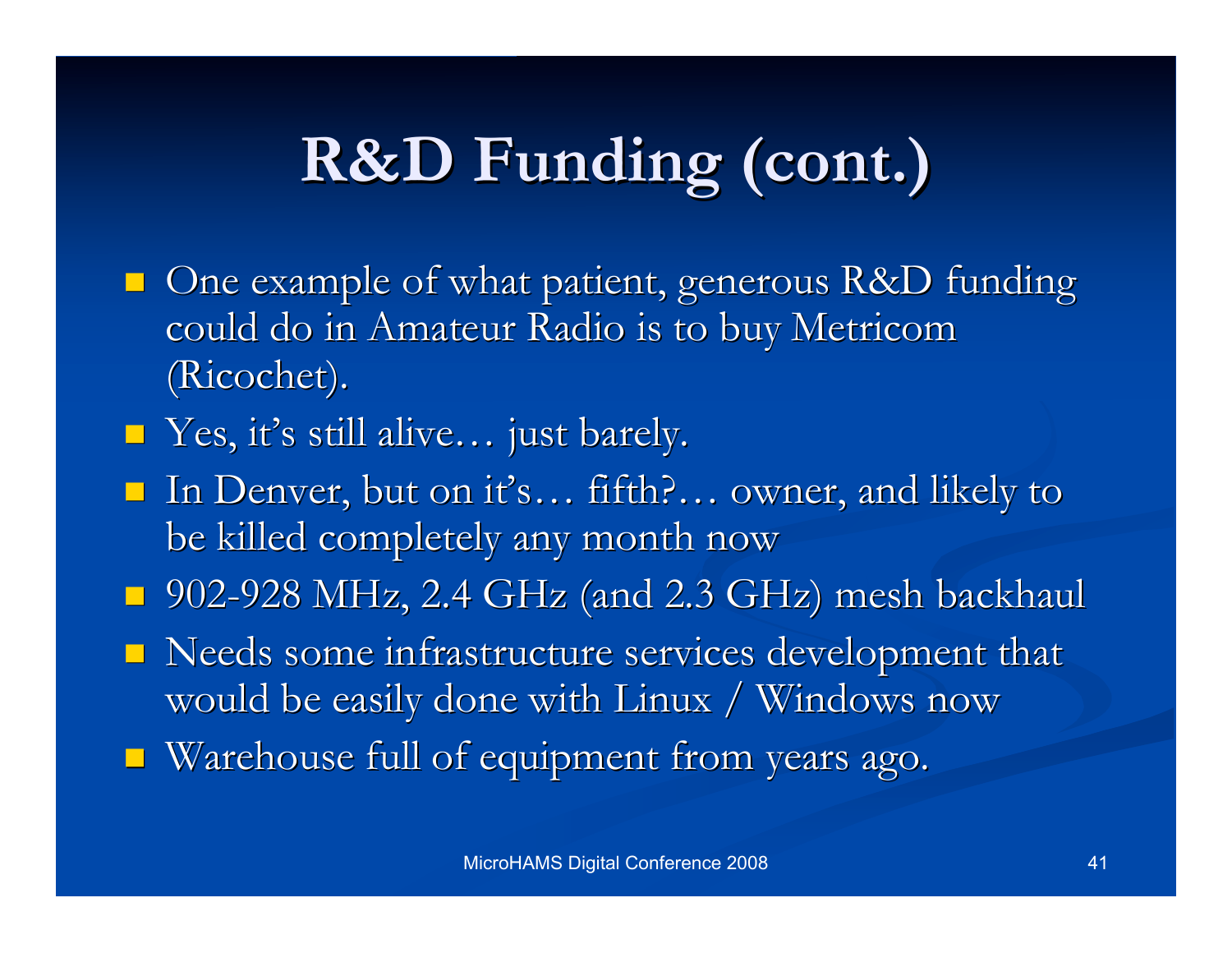## **R&D Funding (cont.) R&D Funding (cont.)**

- $\blacksquare$  One example of what patient, generous R&D funding could do in Amateur Radio is to buy Metricom (Ricochet). (Ricochet).
- Yes, it's still alive... just barely.
- In Denver, but on it's... fifth?... owner, and likely to be killed completely any month now
- $\Box$  902-928 MHz, 2.4 GHz (and 2.3 GHz) mesh backhaul
- Needs some infrastructure services development that would be easily done with Linux / Windows now
- $\blacksquare$  Warehouse full of equipment from years ago.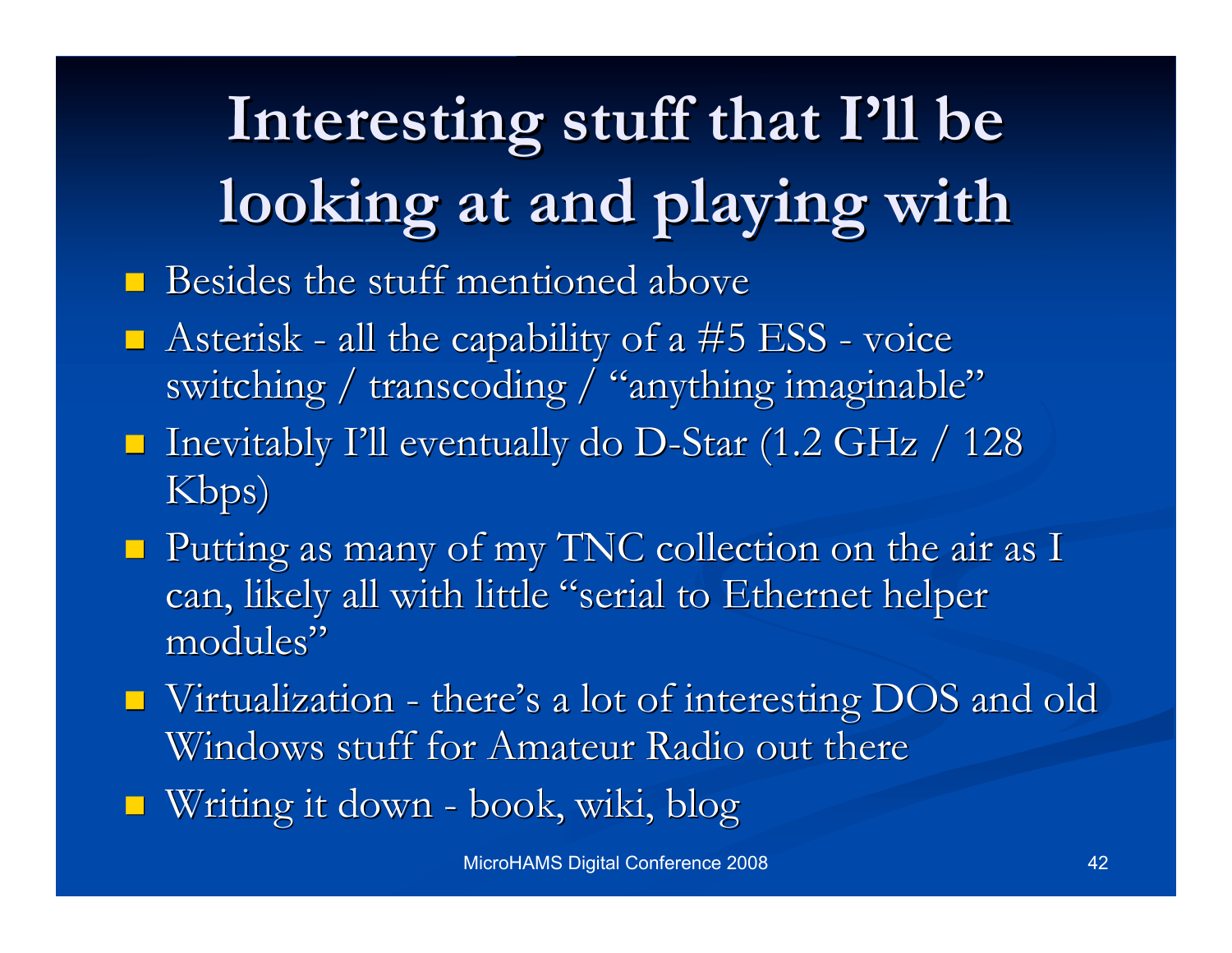# **Interesting stuff that I Interesting stuff that I'll be looking at and playing with looking at and playing with**

- $\blacksquare$  Besides the stuff mentioned above
- $\blacksquare$  Asterisk all the capability of a #5 ESS voice switching / transcoding / "anything imaginable"
- **Inevitably I'll eventually do D-Star (1.2 GHz / 128** Kbps)
- $\blacksquare$  Putting as many of my TNC collection on the air as I can, likely all with little "serial to Ethernet helper modules"
- $\blacksquare$  Virtualization there's a lot of interesting DOS and old Windows stuff for Amateur Radio out there
- $\blacksquare$  Writing it down book, wiki, blog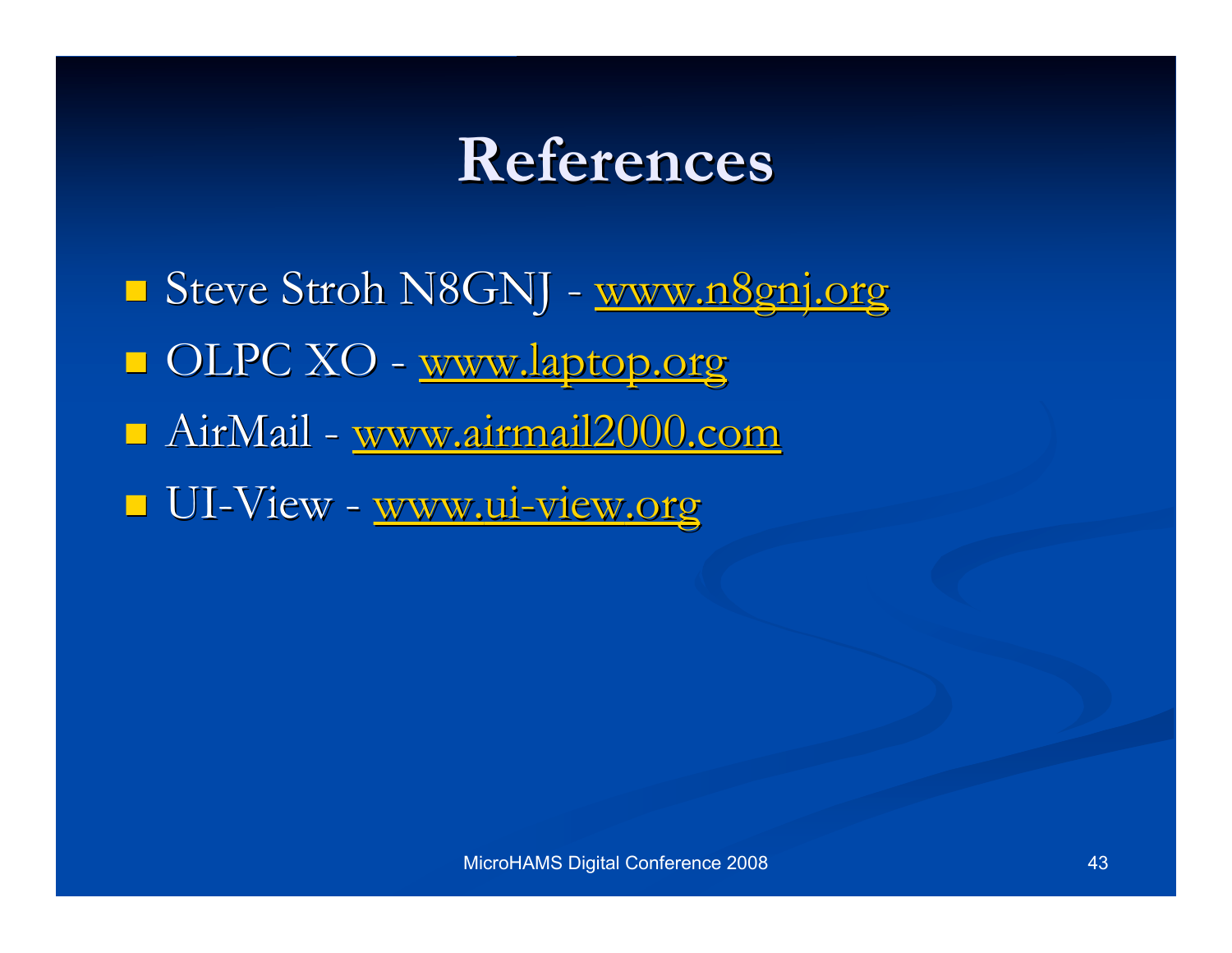### **References References**

Steve Stroh N8GNJ - www.n8gnj.org OLPC XO - www.laptop.org AirMail - www.airmail2000.com UI-View - www.ui-view.org